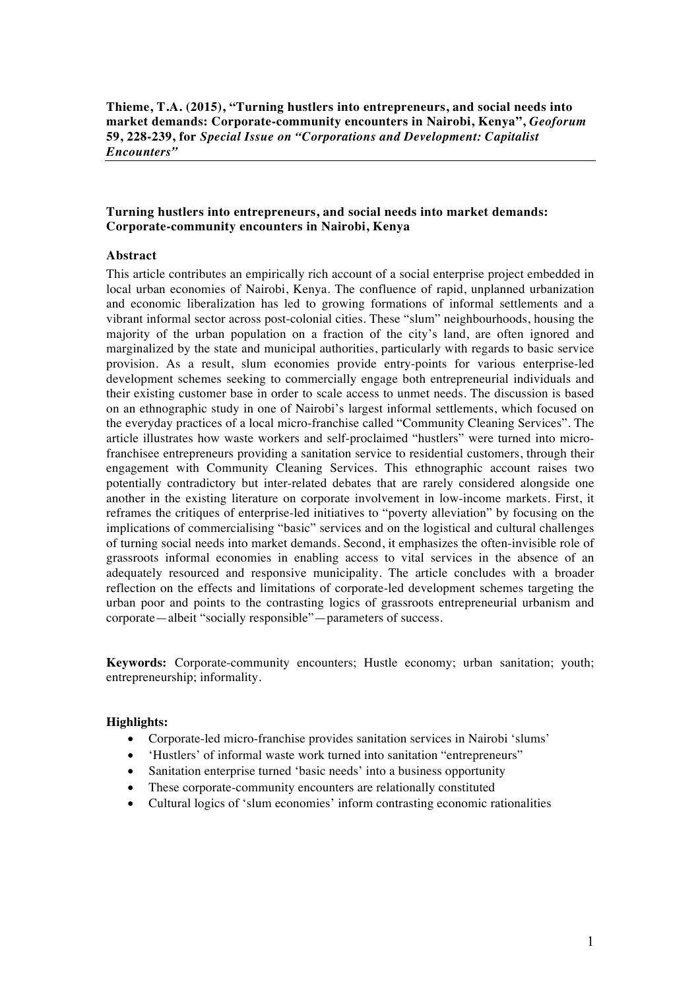**Thieme, T.A. (2015), "Turning hustlers into entrepreneurs, and social needs into market demands: Corporate-community encounters in Nairobi, Kenya",** *Geoforum*  **59, 228-239, for** *Special Issue on "Corporations and Development: Capitalist Encounters"*

# **Turning hustlers into entrepreneurs, and social needs into market demands: Corporate-community encounters in Nairobi, Kenya**

# **Abstract**

This article contributes an empirically rich account of a social enterprise project embedded in local urban economies of Nairobi, Kenya. The confluence of rapid, unplanned urbanization and economic liberalization has led to growing formations of informal settlements and a vibrant informal sector across post-colonial cities. These "slum" neighbourhoods, housing the majority of the urban population on a fraction of the city's land, are often ignored and marginalized by the state and municipal authorities, particularly with regards to basic service provision. As a result, slum economies provide entry-points for various enterprise-led development schemes seeking to commercially engage both entrepreneurial individuals and their existing customer base in order to scale access to unmet needs. The discussion is based on an ethnographic study in one of Nairobi's largest informal settlements, which focused on the everyday practices of a local micro-franchise called "Community Cleaning Services". The article illustrates how waste workers and self-proclaimed "hustlers" were turned into microfranchisee entrepreneurs providing a sanitation service to residential customers, through their engagement with Community Cleaning Services. This ethnographic account raises two potentially contradictory but inter-related debates that are rarely considered alongside one another in the existing literature on corporate involvement in low-income markets. First, it reframes the critiques of enterprise-led initiatives to "poverty alleviation" by focusing on the implications of commercialising "basic" services and on the logistical and cultural challenges of turning social needs into market demands. Second, it emphasizes the often-invisible role of grassroots informal economies in enabling access to vital services in the absence of an adequately resourced and responsive municipality. The article concludes with a broader reflection on the effects and limitations of corporate-led development schemes targeting the urban poor and points to the contrasting logics of grassroots entrepreneurial urbanism and corporate—albeit "socially responsible"—parameters of success.

**Keywords:** Corporate-community encounters; Hustle economy; urban sanitation; youth; entrepreneurship; informality.

## **Highlights:**

- Corporate-led micro-franchise provides sanitation services in Nairobi 'slums'
- 'Hustlers' of informal waste work turned into sanitation "entrepreneurs"
- Sanitation enterprise turned 'basic needs' into a business opportunity
- These corporate-community encounters are relationally constituted
- Cultural logics of 'slum economies' inform contrasting economic rationalities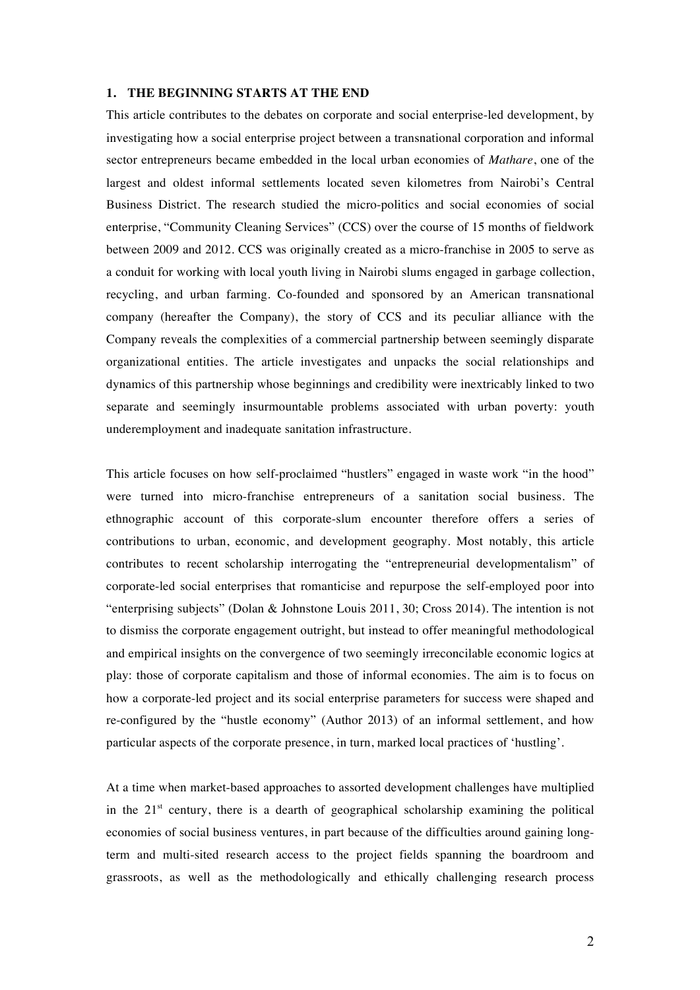#### **1. THE BEGINNING STARTS AT THE END**

This article contributes to the debates on corporate and social enterprise-led development, by investigating how a social enterprise project between a transnational corporation and informal sector entrepreneurs became embedded in the local urban economies of *Mathare*, one of the largest and oldest informal settlements located seven kilometres from Nairobi's Central Business District. The research studied the micro-politics and social economies of social enterprise, "Community Cleaning Services" (CCS) over the course of 15 months of fieldwork between 2009 and 2012. CCS was originally created as a micro-franchise in 2005 to serve as a conduit for working with local youth living in Nairobi slums engaged in garbage collection, recycling, and urban farming. Co-founded and sponsored by an American transnational company (hereafter the Company), the story of CCS and its peculiar alliance with the Company reveals the complexities of a commercial partnership between seemingly disparate organizational entities. The article investigates and unpacks the social relationships and dynamics of this partnership whose beginnings and credibility were inextricably linked to two separate and seemingly insurmountable problems associated with urban poverty: youth underemployment and inadequate sanitation infrastructure.

This article focuses on how self-proclaimed "hustlers" engaged in waste work "in the hood" were turned into micro-franchise entrepreneurs of a sanitation social business. The ethnographic account of this corporate-slum encounter therefore offers a series of contributions to urban, economic, and development geography. Most notably, this article contributes to recent scholarship interrogating the "entrepreneurial developmentalism" of corporate-led social enterprises that romanticise and repurpose the self-employed poor into "enterprising subjects" (Dolan & Johnstone Louis 2011, 30; Cross 2014). The intention is not to dismiss the corporate engagement outright, but instead to offer meaningful methodological and empirical insights on the convergence of two seemingly irreconcilable economic logics at play: those of corporate capitalism and those of informal economies. The aim is to focus on how a corporate-led project and its social enterprise parameters for success were shaped and re-configured by the "hustle economy" (Author 2013) of an informal settlement, and how particular aspects of the corporate presence, in turn, marked local practices of 'hustling'.

At a time when market-based approaches to assorted development challenges have multiplied in the  $21<sup>st</sup>$  century, there is a dearth of geographical scholarship examining the political economies of social business ventures, in part because of the difficulties around gaining longterm and multi-sited research access to the project fields spanning the boardroom and grassroots, as well as the methodologically and ethically challenging research process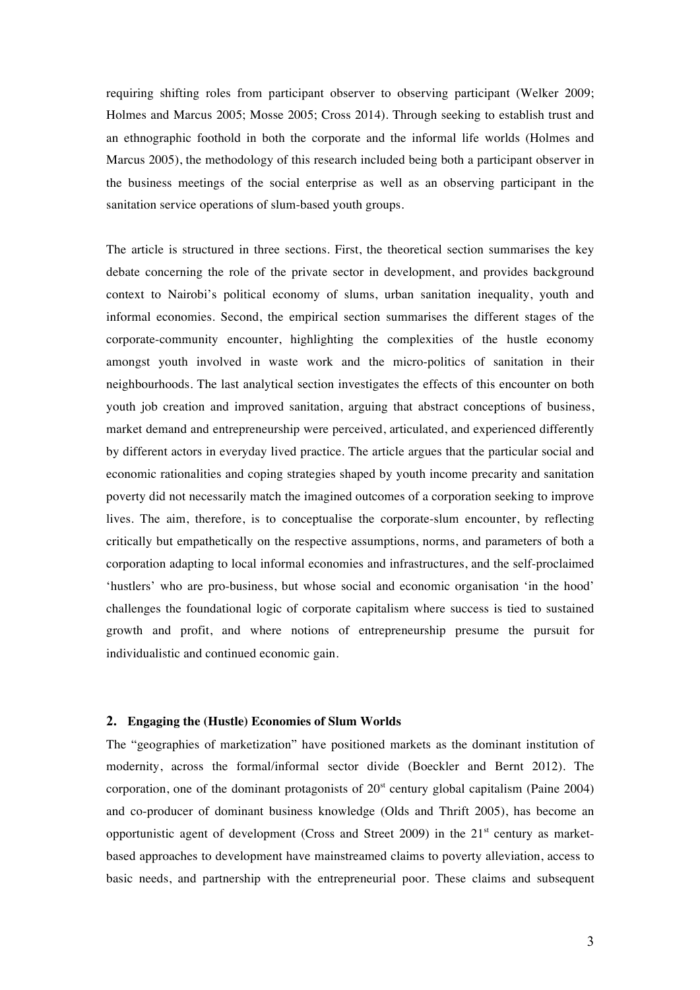requiring shifting roles from participant observer to observing participant (Welker 2009; Holmes and Marcus 2005; Mosse 2005; Cross 2014). Through seeking to establish trust and an ethnographic foothold in both the corporate and the informal life worlds (Holmes and Marcus 2005), the methodology of this research included being both a participant observer in the business meetings of the social enterprise as well as an observing participant in the sanitation service operations of slum-based youth groups.

The article is structured in three sections. First, the theoretical section summarises the key debate concerning the role of the private sector in development, and provides background context to Nairobi's political economy of slums, urban sanitation inequality, youth and informal economies. Second, the empirical section summarises the different stages of the corporate-community encounter, highlighting the complexities of the hustle economy amongst youth involved in waste work and the micro-politics of sanitation in their neighbourhoods. The last analytical section investigates the effects of this encounter on both youth job creation and improved sanitation, arguing that abstract conceptions of business, market demand and entrepreneurship were perceived, articulated, and experienced differently by different actors in everyday lived practice. The article argues that the particular social and economic rationalities and coping strategies shaped by youth income precarity and sanitation poverty did not necessarily match the imagined outcomes of a corporation seeking to improve lives. The aim, therefore, is to conceptualise the corporate-slum encounter, by reflecting critically but empathetically on the respective assumptions, norms, and parameters of both a corporation adapting to local informal economies and infrastructures, and the self-proclaimed 'hustlers' who are pro-business, but whose social and economic organisation 'in the hood' challenges the foundational logic of corporate capitalism where success is tied to sustained growth and profit, and where notions of entrepreneurship presume the pursuit for individualistic and continued economic gain.

## **2. Engaging the (Hustle) Economies of Slum Worlds**

The "geographies of marketization" have positioned markets as the dominant institution of modernity, across the formal/informal sector divide (Boeckler and Bernt 2012). The corporation, one of the dominant protagonists of  $20<sup>st</sup>$  century global capitalism (Paine 2004) and co-producer of dominant business knowledge (Olds and Thrift 2005), has become an opportunistic agent of development (Cross and Street 2009) in the  $21<sup>st</sup>$  century as marketbased approaches to development have mainstreamed claims to poverty alleviation, access to basic needs, and partnership with the entrepreneurial poor. These claims and subsequent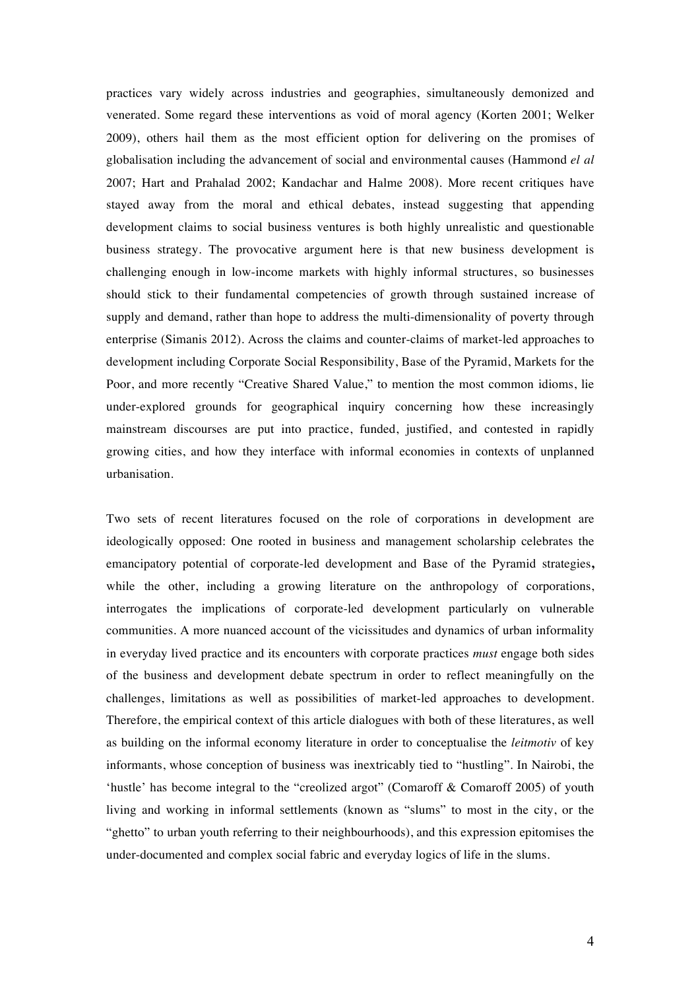practices vary widely across industries and geographies, simultaneously demonized and venerated. Some regard these interventions as void of moral agency (Korten 2001; Welker 2009), others hail them as the most efficient option for delivering on the promises of globalisation including the advancement of social and environmental causes (Hammond *el al*  2007; Hart and Prahalad 2002; Kandachar and Halme 2008). More recent critiques have stayed away from the moral and ethical debates, instead suggesting that appending development claims to social business ventures is both highly unrealistic and questionable business strategy. The provocative argument here is that new business development is challenging enough in low-income markets with highly informal structures, so businesses should stick to their fundamental competencies of growth through sustained increase of supply and demand, rather than hope to address the multi-dimensionality of poverty through enterprise (Simanis 2012). Across the claims and counter-claims of market-led approaches to development including Corporate Social Responsibility, Base of the Pyramid, Markets for the Poor, and more recently "Creative Shared Value," to mention the most common idioms, lie under-explored grounds for geographical inquiry concerning how these increasingly mainstream discourses are put into practice, funded, justified, and contested in rapidly growing cities, and how they interface with informal economies in contexts of unplanned urbanisation.

Two sets of recent literatures focused on the role of corporations in development are ideologically opposed: One rooted in business and management scholarship celebrates the emancipatory potential of corporate-led development and Base of the Pyramid strategies**,**  while the other, including a growing literature on the anthropology of corporations, interrogates the implications of corporate-led development particularly on vulnerable communities. A more nuanced account of the vicissitudes and dynamics of urban informality in everyday lived practice and its encounters with corporate practices *must* engage both sides of the business and development debate spectrum in order to reflect meaningfully on the challenges, limitations as well as possibilities of market-led approaches to development. Therefore, the empirical context of this article dialogues with both of these literatures, as well as building on the informal economy literature in order to conceptualise the *leitmotiv* of key informants, whose conception of business was inextricably tied to "hustling". In Nairobi, the 'hustle' has become integral to the "creolized argot" (Comaroff & Comaroff 2005) of youth living and working in informal settlements (known as "slums" to most in the city, or the "ghetto" to urban youth referring to their neighbourhoods), and this expression epitomises the under-documented and complex social fabric and everyday logics of life in the slums.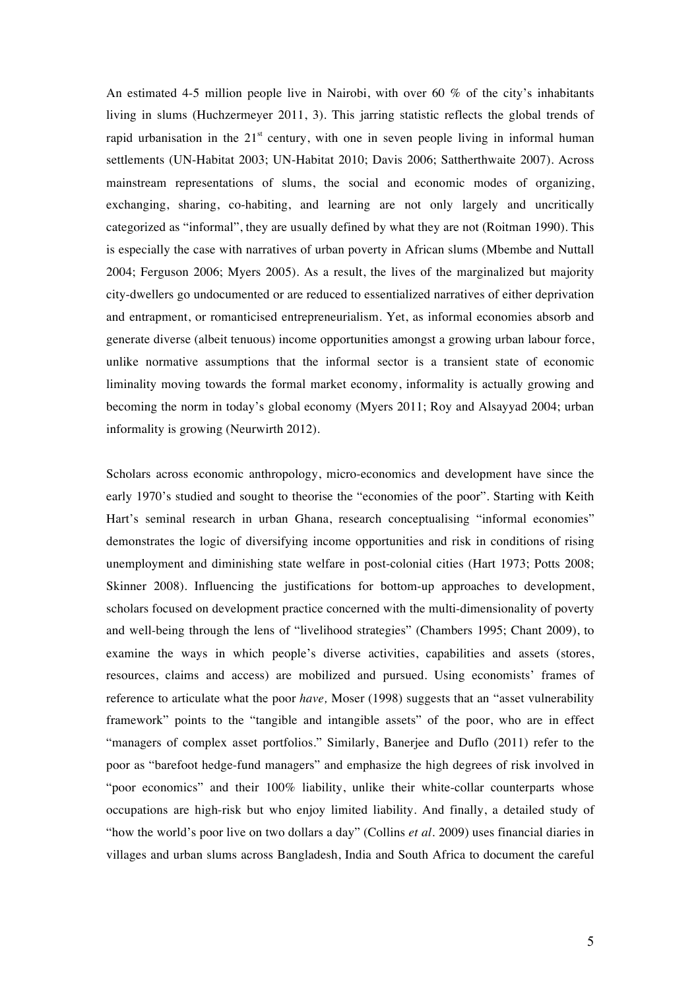An estimated 4-5 million people live in Nairobi, with over 60 % of the city's inhabitants living in slums (Huchzermeyer 2011, 3). This jarring statistic reflects the global trends of rapid urbanisation in the  $21<sup>st</sup>$  century, with one in seven people living in informal human settlements (UN-Habitat 2003; UN-Habitat 2010; Davis 2006; Sattherthwaite 2007). Across mainstream representations of slums, the social and economic modes of organizing, exchanging, sharing, co-habiting, and learning are not only largely and uncritically categorized as "informal", they are usually defined by what they are not (Roitman 1990). This is especially the case with narratives of urban poverty in African slums (Mbembe and Nuttall 2004; Ferguson 2006; Myers 2005). As a result, the lives of the marginalized but majority city-dwellers go undocumented or are reduced to essentialized narratives of either deprivation and entrapment, or romanticised entrepreneurialism. Yet, as informal economies absorb and generate diverse (albeit tenuous) income opportunities amongst a growing urban labour force, unlike normative assumptions that the informal sector is a transient state of economic liminality moving towards the formal market economy, informality is actually growing and becoming the norm in today's global economy (Myers 2011; Roy and Alsayyad 2004; urban informality is growing (Neurwirth 2012).

Scholars across economic anthropology, micro-economics and development have since the early 1970's studied and sought to theorise the "economies of the poor". Starting with Keith Hart's seminal research in urban Ghana, research conceptualising "informal economies" demonstrates the logic of diversifying income opportunities and risk in conditions of rising unemployment and diminishing state welfare in post-colonial cities (Hart 1973; Potts 2008; Skinner 2008). Influencing the justifications for bottom-up approaches to development, scholars focused on development practice concerned with the multi-dimensionality of poverty and well-being through the lens of "livelihood strategies" (Chambers 1995; Chant 2009), to examine the ways in which people's diverse activities, capabilities and assets (stores, resources, claims and access) are mobilized and pursued. Using economists' frames of reference to articulate what the poor *have,* Moser (1998) suggests that an "asset vulnerability framework" points to the "tangible and intangible assets" of the poor, who are in effect "managers of complex asset portfolios." Similarly, Banerjee and Duflo (2011) refer to the poor as "barefoot hedge-fund managers" and emphasize the high degrees of risk involved in "poor economics" and their 100% liability, unlike their white-collar counterparts whose occupations are high-risk but who enjoy limited liability. And finally, a detailed study of "how the world's poor live on two dollars a day" (Collins *et al.* 2009) uses financial diaries in villages and urban slums across Bangladesh, India and South Africa to document the careful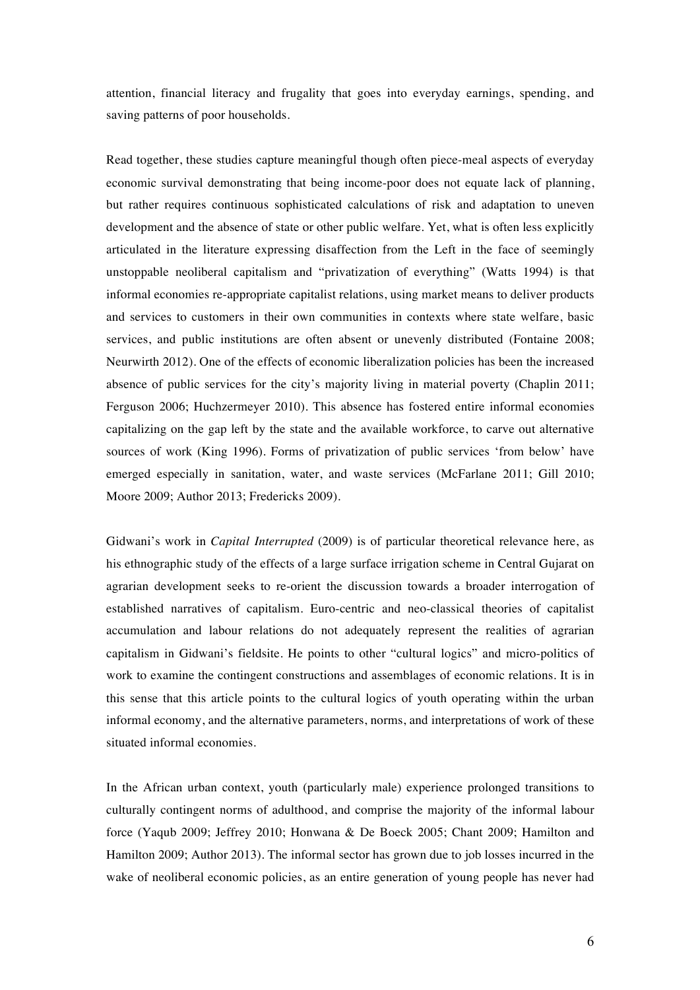attention, financial literacy and frugality that goes into everyday earnings, spending, and saving patterns of poor households.

Read together, these studies capture meaningful though often piece-meal aspects of everyday economic survival demonstrating that being income-poor does not equate lack of planning, but rather requires continuous sophisticated calculations of risk and adaptation to uneven development and the absence of state or other public welfare. Yet, what is often less explicitly articulated in the literature expressing disaffection from the Left in the face of seemingly unstoppable neoliberal capitalism and "privatization of everything" (Watts 1994) is that informal economies re-appropriate capitalist relations, using market means to deliver products and services to customers in their own communities in contexts where state welfare, basic services, and public institutions are often absent or unevenly distributed (Fontaine 2008; Neurwirth 2012). One of the effects of economic liberalization policies has been the increased absence of public services for the city's majority living in material poverty (Chaplin 2011; Ferguson 2006; Huchzermeyer 2010). This absence has fostered entire informal economies capitalizing on the gap left by the state and the available workforce, to carve out alternative sources of work (King 1996). Forms of privatization of public services 'from below' have emerged especially in sanitation, water, and waste services (McFarlane 2011; Gill 2010; Moore 2009; Author 2013; Fredericks 2009).

Gidwani's work in *Capital Interrupted* (2009) is of particular theoretical relevance here, as his ethnographic study of the effects of a large surface irrigation scheme in Central Gujarat on agrarian development seeks to re-orient the discussion towards a broader interrogation of established narratives of capitalism. Euro-centric and neo-classical theories of capitalist accumulation and labour relations do not adequately represent the realities of agrarian capitalism in Gidwani's fieldsite. He points to other "cultural logics" and micro-politics of work to examine the contingent constructions and assemblages of economic relations. It is in this sense that this article points to the cultural logics of youth operating within the urban informal economy, and the alternative parameters, norms, and interpretations of work of these situated informal economies.

In the African urban context, youth (particularly male) experience prolonged transitions to culturally contingent norms of adulthood, and comprise the majority of the informal labour force (Yaqub 2009; Jeffrey 2010; Honwana & De Boeck 2005; Chant 2009; Hamilton and Hamilton 2009; Author 2013). The informal sector has grown due to job losses incurred in the wake of neoliberal economic policies, as an entire generation of young people has never had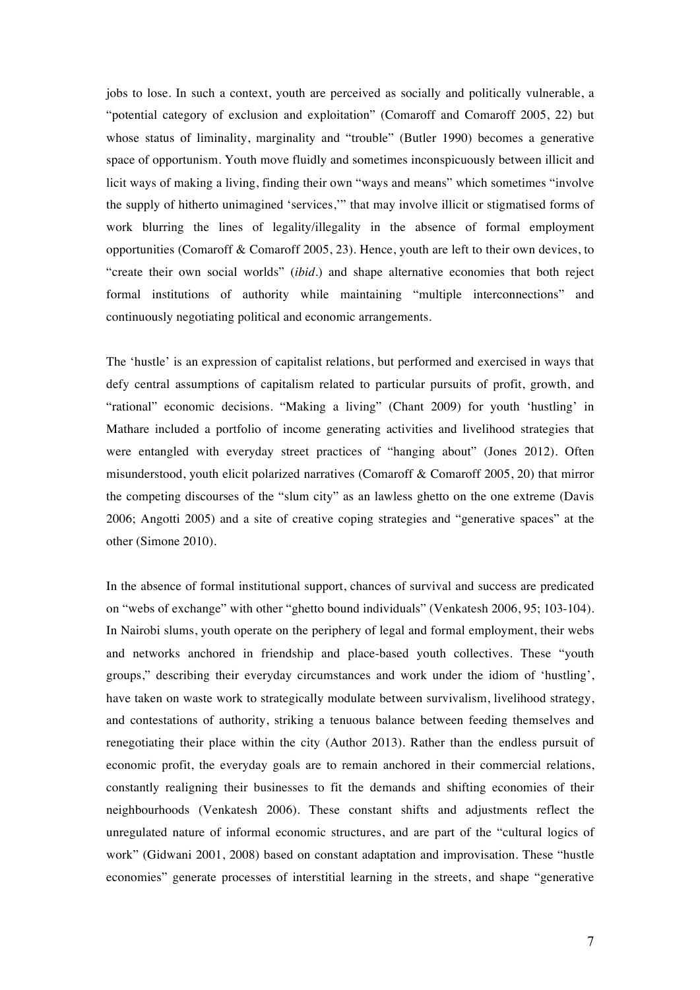jobs to lose. In such a context, youth are perceived as socially and politically vulnerable, a "potential category of exclusion and exploitation" (Comaroff and Comaroff 2005, 22) but whose status of liminality, marginality and "trouble" (Butler 1990) becomes a generative space of opportunism. Youth move fluidly and sometimes inconspicuously between illicit and licit ways of making a living, finding their own "ways and means" which sometimes "involve the supply of hitherto unimagined 'services,'" that may involve illicit or stigmatised forms of work blurring the lines of legality/illegality in the absence of formal employment opportunities (Comaroff & Comaroff 2005, 23). Hence, youth are left to their own devices, to "create their own social worlds" (*ibid.*) and shape alternative economies that both reject formal institutions of authority while maintaining "multiple interconnections" and continuously negotiating political and economic arrangements.

The 'hustle' is an expression of capitalist relations, but performed and exercised in ways that defy central assumptions of capitalism related to particular pursuits of profit, growth, and "rational" economic decisions. "Making a living" (Chant 2009) for youth 'hustling' in Mathare included a portfolio of income generating activities and livelihood strategies that were entangled with everyday street practices of "hanging about" (Jones 2012). Often misunderstood, youth elicit polarized narratives (Comaroff & Comaroff 2005, 20) that mirror the competing discourses of the "slum city" as an lawless ghetto on the one extreme (Davis 2006; Angotti 2005) and a site of creative coping strategies and "generative spaces" at the other (Simone 2010).

In the absence of formal institutional support, chances of survival and success are predicated on "webs of exchange" with other "ghetto bound individuals" (Venkatesh 2006, 95; 103-104). In Nairobi slums, youth operate on the periphery of legal and formal employment, their webs and networks anchored in friendship and place-based youth collectives. These "youth groups," describing their everyday circumstances and work under the idiom of 'hustling', have taken on waste work to strategically modulate between survivalism, livelihood strategy, and contestations of authority, striking a tenuous balance between feeding themselves and renegotiating their place within the city (Author 2013). Rather than the endless pursuit of economic profit, the everyday goals are to remain anchored in their commercial relations, constantly realigning their businesses to fit the demands and shifting economies of their neighbourhoods (Venkatesh 2006). These constant shifts and adjustments reflect the unregulated nature of informal economic structures, and are part of the "cultural logics of work" (Gidwani 2001, 2008) based on constant adaptation and improvisation. These "hustle economies" generate processes of interstitial learning in the streets, and shape "generative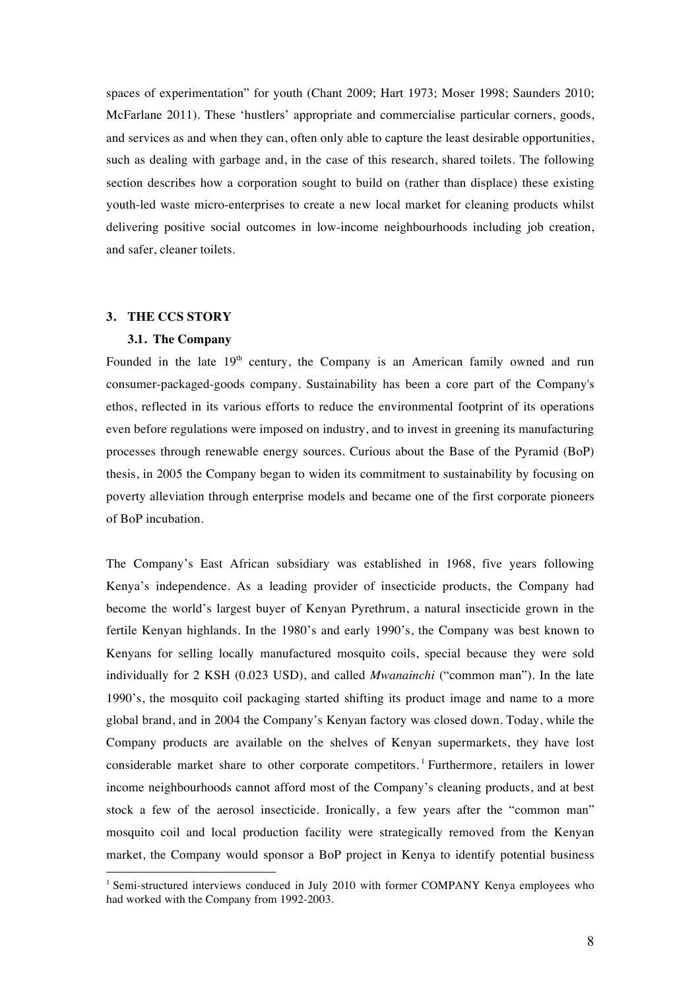spaces of experimentation" for youth (Chant 2009; Hart 1973; Moser 1998; Saunders 2010; McFarlane 2011). These 'hustlers' appropriate and commercialise particular corners, goods, and services as and when they can, often only able to capture the least desirable opportunities, such as dealing with garbage and, in the case of this research, shared toilets. The following section describes how a corporation sought to build on (rather than displace) these existing youth-led waste micro-enterprises to create a new local market for cleaning products whilst delivering positive social outcomes in low-income neighbourhoods including job creation, and safer, cleaner toilets.

## **3. THE CCS STORY**

 $\overline{a}$ 

## **3.1. The Company**

Founded in the late  $19<sup>th</sup>$  century, the Company is an American family owned and run consumer-packaged-goods company. Sustainability has been a core part of the Company's ethos, reflected in its various efforts to reduce the environmental footprint of its operations even before regulations were imposed on industry, and to invest in greening its manufacturing processes through renewable energy sources. Curious about the Base of the Pyramid (BoP) thesis, in 2005 the Company began to widen its commitment to sustainability by focusing on poverty alleviation through enterprise models and became one of the first corporate pioneers of BoP incubation.

The Company's East African subsidiary was established in 1968, five years following Kenya's independence. As a leading provider of insecticide products, the Company had become the world's largest buyer of Kenyan Pyrethrum, a natural insecticide grown in the fertile Kenyan highlands. In the 1980's and early 1990's, the Company was best known to Kenyans for selling locally manufactured mosquito coils, special because they were sold individually for 2 KSH (0.023 USD), and called *Mwanainchi* ("common man"). In the late 1990's, the mosquito coil packaging started shifting its product image and name to a more global brand, and in 2004 the Company's Kenyan factory was closed down. Today, while the Company products are available on the shelves of Kenyan supermarkets, they have lost considerable market share to other corporate competitors.<sup>1</sup> Furthermore, retailers in lower income neighbourhoods cannot afford most of the Company's cleaning products, and at best stock a few of the aerosol insecticide. Ironically, a few years after the "common man" mosquito coil and local production facility were strategically removed from the Kenyan market, the Company would sponsor a BoP project in Kenya to identify potential business

<sup>&</sup>lt;sup>1</sup> Semi-structured interviews conduced in July 2010 with former COMPANY Kenya employees who had worked with the Company from 1992-2003.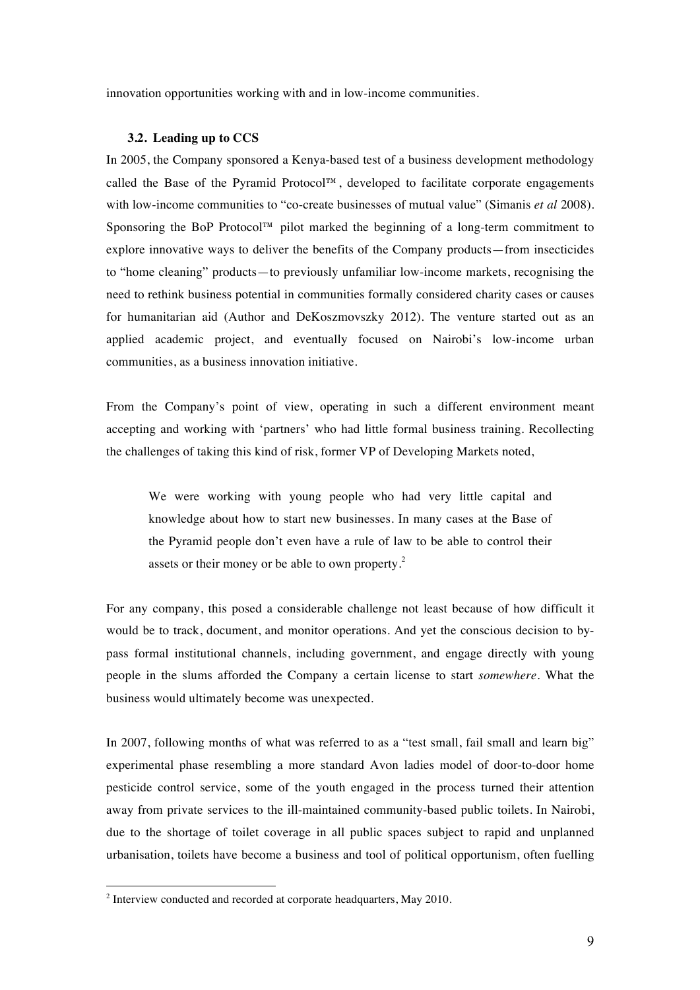innovation opportunities working with and in low-income communities.

### **3.2. Leading up to CCS**

In 2005, the Company sponsored a Kenya-based test of a business development methodology called the Base of the Pyramid Protocol™, developed to facilitate corporate engagements with low-income communities to "co-create businesses of mutual value" (Simanis *et al* 2008). Sponsoring the BoP Protocol™ pilot marked the beginning of a long-term commitment to explore innovative ways to deliver the benefits of the Company products—from insecticides to "home cleaning" products—to previously unfamiliar low-income markets, recognising the need to rethink business potential in communities formally considered charity cases or causes for humanitarian aid (Author and DeKoszmovszky 2012). The venture started out as an applied academic project, and eventually focused on Nairobi's low-income urban communities, as a business innovation initiative.

From the Company's point of view, operating in such a different environment meant accepting and working with 'partners' who had little formal business training. Recollecting the challenges of taking this kind of risk, former VP of Developing Markets noted,

We were working with young people who had very little capital and knowledge about how to start new businesses. In many cases at the Base of the Pyramid people don't even have a rule of law to be able to control their assets or their money or be able to own property.<sup>2</sup>

For any company, this posed a considerable challenge not least because of how difficult it would be to track, document, and monitor operations. And yet the conscious decision to bypass formal institutional channels, including government, and engage directly with young people in the slums afforded the Company a certain license to start *somewhere*. What the business would ultimately become was unexpected.

In 2007, following months of what was referred to as a "test small, fail small and learn big" experimental phase resembling a more standard Avon ladies model of door-to-door home pesticide control service, some of the youth engaged in the process turned their attention away from private services to the ill-maintained community-based public toilets. In Nairobi, due to the shortage of toilet coverage in all public spaces subject to rapid and unplanned urbanisation, toilets have become a business and tool of political opportunism, often fuelling

 $\overline{a}$ 

<sup>&</sup>lt;sup>2</sup> Interview conducted and recorded at corporate headquarters, May 2010.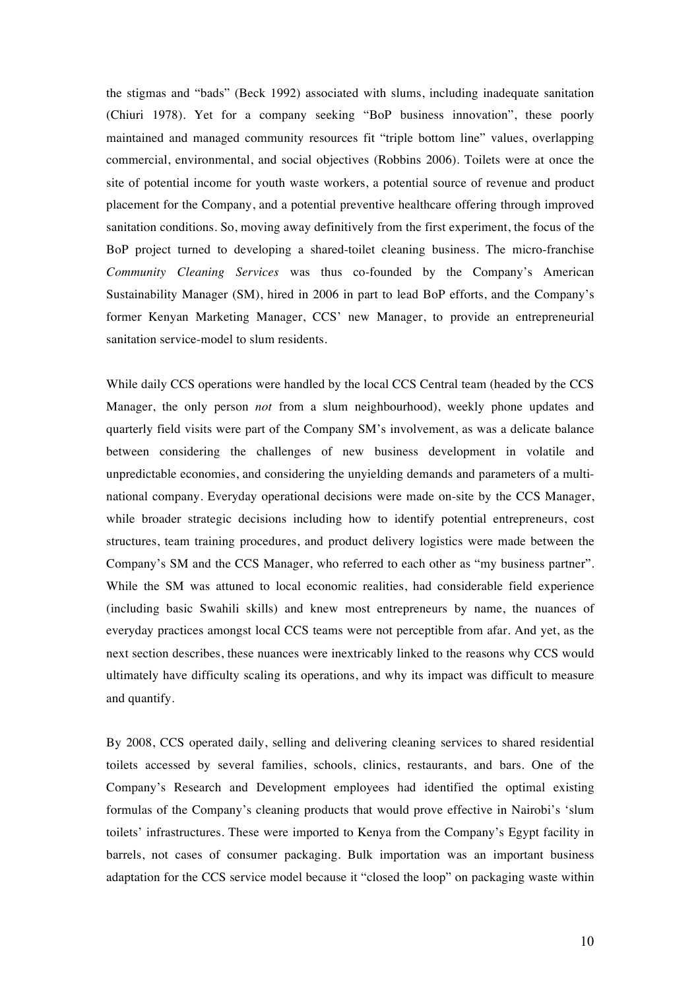the stigmas and "bads" (Beck 1992) associated with slums, including inadequate sanitation (Chiuri 1978). Yet for a company seeking "BoP business innovation", these poorly maintained and managed community resources fit "triple bottom line" values, overlapping commercial, environmental, and social objectives (Robbins 2006). Toilets were at once the site of potential income for youth waste workers, a potential source of revenue and product placement for the Company, and a potential preventive healthcare offering through improved sanitation conditions. So, moving away definitively from the first experiment, the focus of the BoP project turned to developing a shared-toilet cleaning business. The micro-franchise *Community Cleaning Services* was thus co-founded by the Company's American Sustainability Manager (SM), hired in 2006 in part to lead BoP efforts, and the Company's former Kenyan Marketing Manager, CCS' new Manager, to provide an entrepreneurial sanitation service-model to slum residents.

While daily CCS operations were handled by the local CCS Central team (headed by the CCS Manager, the only person *not* from a slum neighbourhood), weekly phone updates and quarterly field visits were part of the Company SM's involvement, as was a delicate balance between considering the challenges of new business development in volatile and unpredictable economies, and considering the unyielding demands and parameters of a multinational company. Everyday operational decisions were made on-site by the CCS Manager, while broader strategic decisions including how to identify potential entrepreneurs, cost structures, team training procedures, and product delivery logistics were made between the Company's SM and the CCS Manager, who referred to each other as "my business partner". While the SM was attuned to local economic realities, had considerable field experience (including basic Swahili skills) and knew most entrepreneurs by name, the nuances of everyday practices amongst local CCS teams were not perceptible from afar. And yet, as the next section describes, these nuances were inextricably linked to the reasons why CCS would ultimately have difficulty scaling its operations, and why its impact was difficult to measure and quantify.

By 2008, CCS operated daily, selling and delivering cleaning services to shared residential toilets accessed by several families, schools, clinics, restaurants, and bars. One of the Company's Research and Development employees had identified the optimal existing formulas of the Company's cleaning products that would prove effective in Nairobi's 'slum toilets' infrastructures. These were imported to Kenya from the Company's Egypt facility in barrels, not cases of consumer packaging. Bulk importation was an important business adaptation for the CCS service model because it "closed the loop" on packaging waste within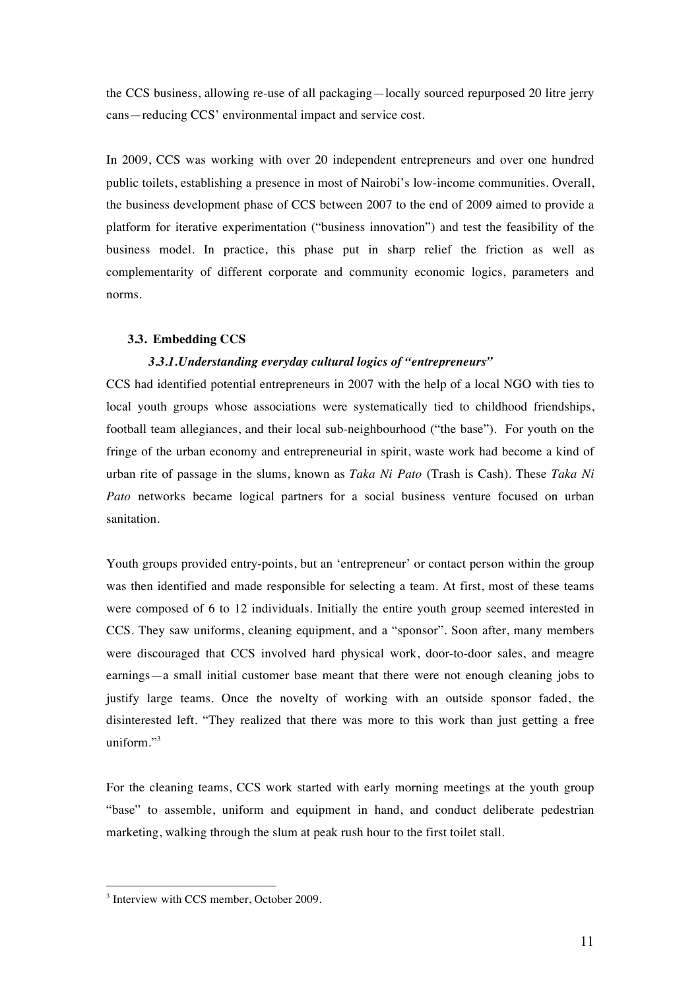the CCS business, allowing re-use of all packaging—locally sourced repurposed 20 litre jerry cans—reducing CCS' environmental impact and service cost.

In 2009, CCS was working with over 20 independent entrepreneurs and over one hundred public toilets, establishing a presence in most of Nairobi's low-income communities. Overall, the business development phase of CCS between 2007 to the end of 2009 aimed to provide a platform for iterative experimentation ("business innovation") and test the feasibility of the business model. In practice, this phase put in sharp relief the friction as well as complementarity of different corporate and community economic logics, parameters and norms.

## **3.3. Embedding CCS**

## *3.3.1.Understanding everyday cultural logics of "entrepreneurs"*

CCS had identified potential entrepreneurs in 2007 with the help of a local NGO with ties to local youth groups whose associations were systematically tied to childhood friendships, football team allegiances, and their local sub-neighbourhood ("the base"). For youth on the fringe of the urban economy and entrepreneurial in spirit, waste work had become a kind of urban rite of passage in the slums, known as *Taka Ni Pato* (Trash is Cash). These *Taka Ni Pato* networks became logical partners for a social business venture focused on urban sanitation.

Youth groups provided entry-points, but an 'entrepreneur' or contact person within the group was then identified and made responsible for selecting a team. At first, most of these teams were composed of 6 to 12 individuals. Initially the entire youth group seemed interested in CCS. They saw uniforms, cleaning equipment, and a "sponsor". Soon after, many members were discouraged that CCS involved hard physical work, door-to-door sales, and meagre earnings—a small initial customer base meant that there were not enough cleaning jobs to justify large teams. Once the novelty of working with an outside sponsor faded, the disinterested left. "They realized that there was more to this work than just getting a free uniform."<sup>3</sup>

For the cleaning teams, CCS work started with early morning meetings at the youth group "base" to assemble, uniform and equipment in hand, and conduct deliberate pedestrian marketing, walking through the slum at peak rush hour to the first toilet stall.

 $\overline{a}$ 

<sup>&</sup>lt;sup>3</sup> Interview with CCS member, October 2009.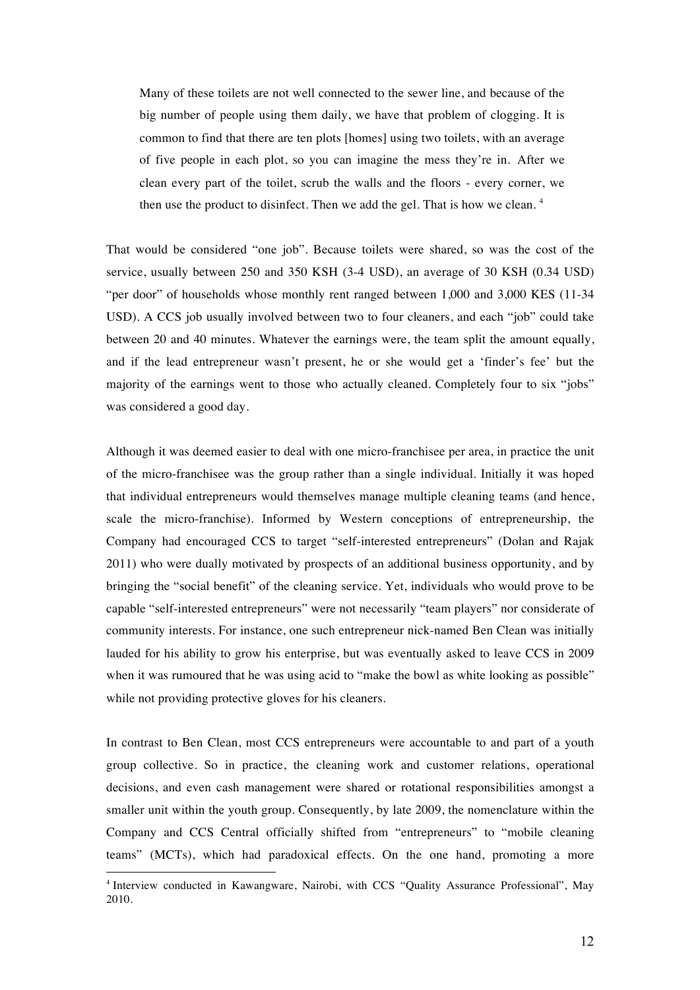Many of these toilets are not well connected to the sewer line, and because of the big number of people using them daily, we have that problem of clogging. It is common to find that there are ten plots [homes] using two toilets, with an average of five people in each plot, so you can imagine the mess they're in. After we clean every part of the toilet, scrub the walls and the floors - every corner, we then use the product to disinfect. Then we add the gel. That is how we clean.  $4$ 

That would be considered "one job". Because toilets were shared, so was the cost of the service, usually between 250 and 350 KSH (3-4 USD), an average of 30 KSH (0.34 USD) "per door" of households whose monthly rent ranged between 1,000 and 3,000 KES (11-34 USD). A CCS job usually involved between two to four cleaners, and each "job" could take between 20 and 40 minutes. Whatever the earnings were, the team split the amount equally, and if the lead entrepreneur wasn't present, he or she would get a 'finder's fee' but the majority of the earnings went to those who actually cleaned. Completely four to six "jobs" was considered a good day.

Although it was deemed easier to deal with one micro-franchisee per area, in practice the unit of the micro-franchisee was the group rather than a single individual. Initially it was hoped that individual entrepreneurs would themselves manage multiple cleaning teams (and hence, scale the micro-franchise). Informed by Western conceptions of entrepreneurship, the Company had encouraged CCS to target "self-interested entrepreneurs" (Dolan and Rajak 2011) who were dually motivated by prospects of an additional business opportunity, and by bringing the "social benefit" of the cleaning service. Yet, individuals who would prove to be capable "self-interested entrepreneurs" were not necessarily "team players" nor considerate of community interests. For instance, one such entrepreneur nick-named Ben Clean was initially lauded for his ability to grow his enterprise, but was eventually asked to leave CCS in 2009 when it was rumoured that he was using acid to "make the bowl as white looking as possible" while not providing protective gloves for his cleaners.

In contrast to Ben Clean, most CCS entrepreneurs were accountable to and part of a youth group collective. So in practice, the cleaning work and customer relations, operational decisions, and even cash management were shared or rotational responsibilities amongst a smaller unit within the youth group. Consequently, by late 2009, the nomenclature within the Company and CCS Central officially shifted from "entrepreneurs" to "mobile cleaning teams" (MCTs), which had paradoxical effects. On the one hand, promoting a more

 $\overline{a}$ 

<sup>&</sup>lt;sup>4</sup> Interview conducted in Kawangware, Nairobi, with CCS "Quality Assurance Professional", May 2010.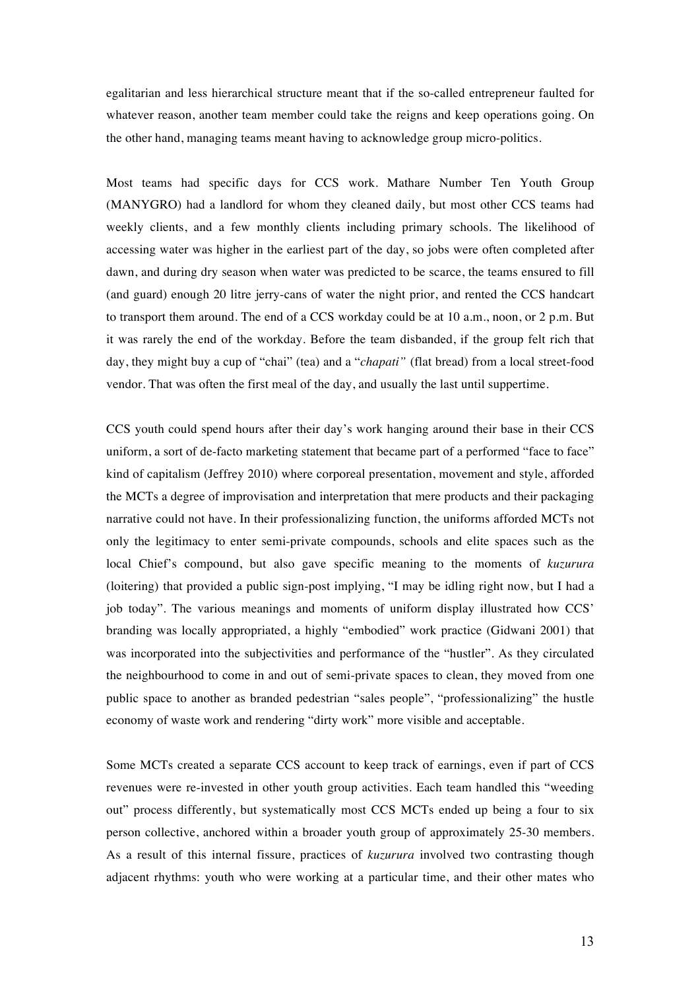egalitarian and less hierarchical structure meant that if the so-called entrepreneur faulted for whatever reason, another team member could take the reigns and keep operations going. On the other hand, managing teams meant having to acknowledge group micro-politics.

Most teams had specific days for CCS work. Mathare Number Ten Youth Group (MANYGRO) had a landlord for whom they cleaned daily, but most other CCS teams had weekly clients, and a few monthly clients including primary schools. The likelihood of accessing water was higher in the earliest part of the day, so jobs were often completed after dawn, and during dry season when water was predicted to be scarce, the teams ensured to fill (and guard) enough 20 litre jerry-cans of water the night prior, and rented the CCS handcart to transport them around. The end of a CCS workday could be at 10 a.m., noon, or 2 p.m. But it was rarely the end of the workday. Before the team disbanded, if the group felt rich that day, they might buy a cup of "chai" (tea) and a "*chapati"* (flat bread) from a local street-food vendor. That was often the first meal of the day, and usually the last until suppertime.

CCS youth could spend hours after their day's work hanging around their base in their CCS uniform, a sort of de-facto marketing statement that became part of a performed "face to face" kind of capitalism (Jeffrey 2010) where corporeal presentation, movement and style, afforded the MCTs a degree of improvisation and interpretation that mere products and their packaging narrative could not have. In their professionalizing function, the uniforms afforded MCTs not only the legitimacy to enter semi-private compounds, schools and elite spaces such as the local Chief's compound, but also gave specific meaning to the moments of *kuzurura* (loitering) that provided a public sign-post implying, "I may be idling right now, but I had a job today". The various meanings and moments of uniform display illustrated how CCS' branding was locally appropriated, a highly "embodied" work practice (Gidwani 2001) that was incorporated into the subjectivities and performance of the "hustler". As they circulated the neighbourhood to come in and out of semi-private spaces to clean, they moved from one public space to another as branded pedestrian "sales people", "professionalizing" the hustle economy of waste work and rendering "dirty work" more visible and acceptable.

Some MCTs created a separate CCS account to keep track of earnings, even if part of CCS revenues were re-invested in other youth group activities. Each team handled this "weeding out" process differently, but systematically most CCS MCTs ended up being a four to six person collective, anchored within a broader youth group of approximately 25-30 members. As a result of this internal fissure, practices of *kuzurura* involved two contrasting though adjacent rhythms: youth who were working at a particular time, and their other mates who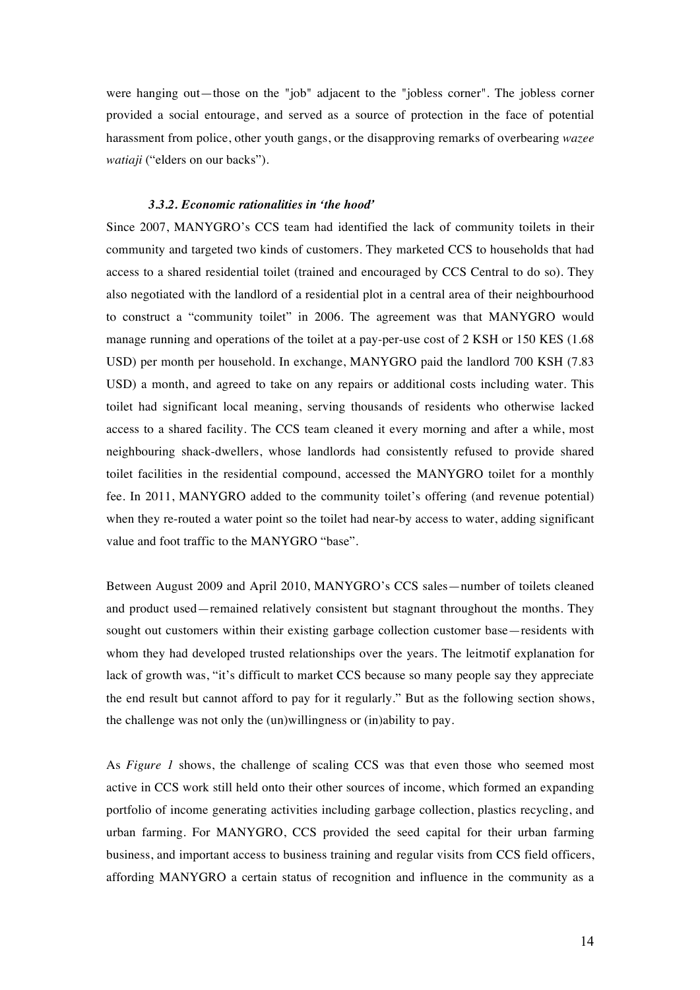were hanging out—those on the "job" adjacent to the "jobless corner". The jobless corner provided a social entourage, and served as a source of protection in the face of potential harassment from police, other youth gangs, or the disapproving remarks of overbearing *wazee watiaji* ("elders on our backs").

#### *3.3.2. Economic rationalities in 'the hood'*

Since 2007, MANYGRO's CCS team had identified the lack of community toilets in their community and targeted two kinds of customers. They marketed CCS to households that had access to a shared residential toilet (trained and encouraged by CCS Central to do so). They also negotiated with the landlord of a residential plot in a central area of their neighbourhood to construct a "community toilet" in 2006. The agreement was that MANYGRO would manage running and operations of the toilet at a pay-per-use cost of 2 KSH or 150 KES (1.68 USD) per month per household. In exchange, MANYGRO paid the landlord 700 KSH (7.83 USD) a month, and agreed to take on any repairs or additional costs including water. This toilet had significant local meaning, serving thousands of residents who otherwise lacked access to a shared facility. The CCS team cleaned it every morning and after a while, most neighbouring shack-dwellers, whose landlords had consistently refused to provide shared toilet facilities in the residential compound, accessed the MANYGRO toilet for a monthly fee. In 2011, MANYGRO added to the community toilet's offering (and revenue potential) when they re-routed a water point so the toilet had near-by access to water, adding significant value and foot traffic to the MANYGRO "base".

Between August 2009 and April 2010, MANYGRO's CCS sales—number of toilets cleaned and product used—remained relatively consistent but stagnant throughout the months. They sought out customers within their existing garbage collection customer base—residents with whom they had developed trusted relationships over the years. The leitmotif explanation for lack of growth was, "it's difficult to market CCS because so many people say they appreciate the end result but cannot afford to pay for it regularly." But as the following section shows, the challenge was not only the (un)willingness or (in)ability to pay.

As *Figure 1* shows, the challenge of scaling CCS was that even those who seemed most active in CCS work still held onto their other sources of income, which formed an expanding portfolio of income generating activities including garbage collection, plastics recycling, and urban farming. For MANYGRO, CCS provided the seed capital for their urban farming business, and important access to business training and regular visits from CCS field officers, affording MANYGRO a certain status of recognition and influence in the community as a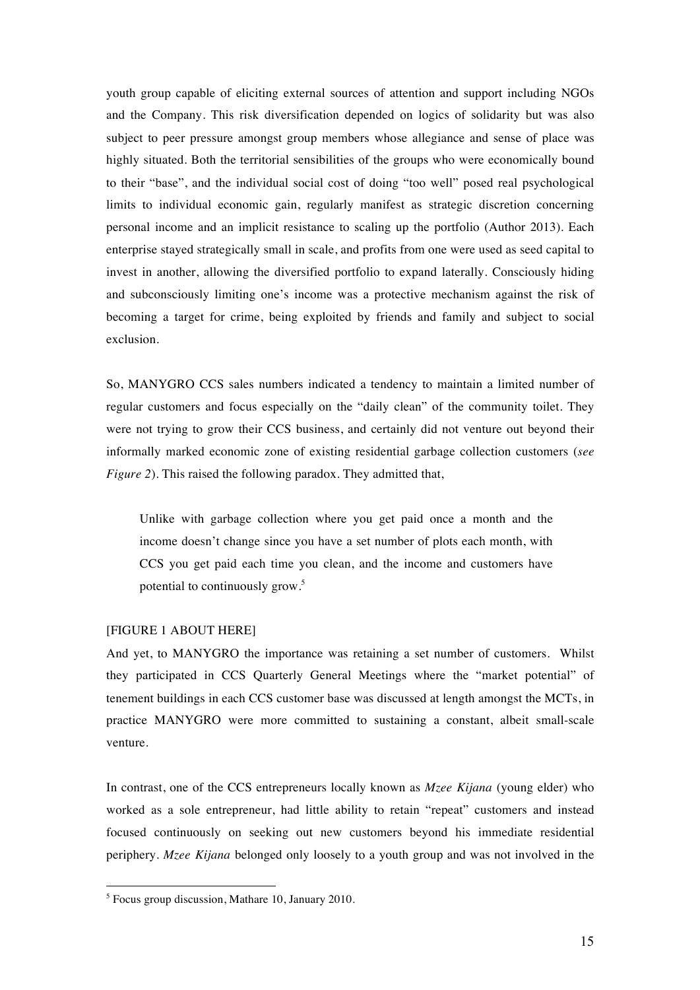youth group capable of eliciting external sources of attention and support including NGOs and the Company. This risk diversification depended on logics of solidarity but was also subject to peer pressure amongst group members whose allegiance and sense of place was highly situated. Both the territorial sensibilities of the groups who were economically bound to their "base", and the individual social cost of doing "too well" posed real psychological limits to individual economic gain, regularly manifest as strategic discretion concerning personal income and an implicit resistance to scaling up the portfolio (Author 2013). Each enterprise stayed strategically small in scale, and profits from one were used as seed capital to invest in another, allowing the diversified portfolio to expand laterally. Consciously hiding and subconsciously limiting one's income was a protective mechanism against the risk of becoming a target for crime, being exploited by friends and family and subject to social exclusion.

So, MANYGRO CCS sales numbers indicated a tendency to maintain a limited number of regular customers and focus especially on the "daily clean" of the community toilet. They were not trying to grow their CCS business, and certainly did not venture out beyond their informally marked economic zone of existing residential garbage collection customers (*see Figure 2*). This raised the following paradox. They admitted that,

Unlike with garbage collection where you get paid once a month and the income doesn't change since you have a set number of plots each month, with CCS you get paid each time you clean, and the income and customers have potential to continuously grow.<sup>5</sup>

### [FIGURE 1 ABOUT HERE]

 $\overline{a}$ 

And yet, to MANYGRO the importance was retaining a set number of customers. Whilst they participated in CCS Quarterly General Meetings where the "market potential" of tenement buildings in each CCS customer base was discussed at length amongst the MCTs, in practice MANYGRO were more committed to sustaining a constant, albeit small-scale venture.

In contrast, one of the CCS entrepreneurs locally known as *Mzee Kijana* (young elder) who worked as a sole entrepreneur, had little ability to retain "repeat" customers and instead focused continuously on seeking out new customers beyond his immediate residential periphery. *Mzee Kijana* belonged only loosely to a youth group and was not involved in the

<sup>5</sup> Focus group discussion, Mathare 10, January 2010.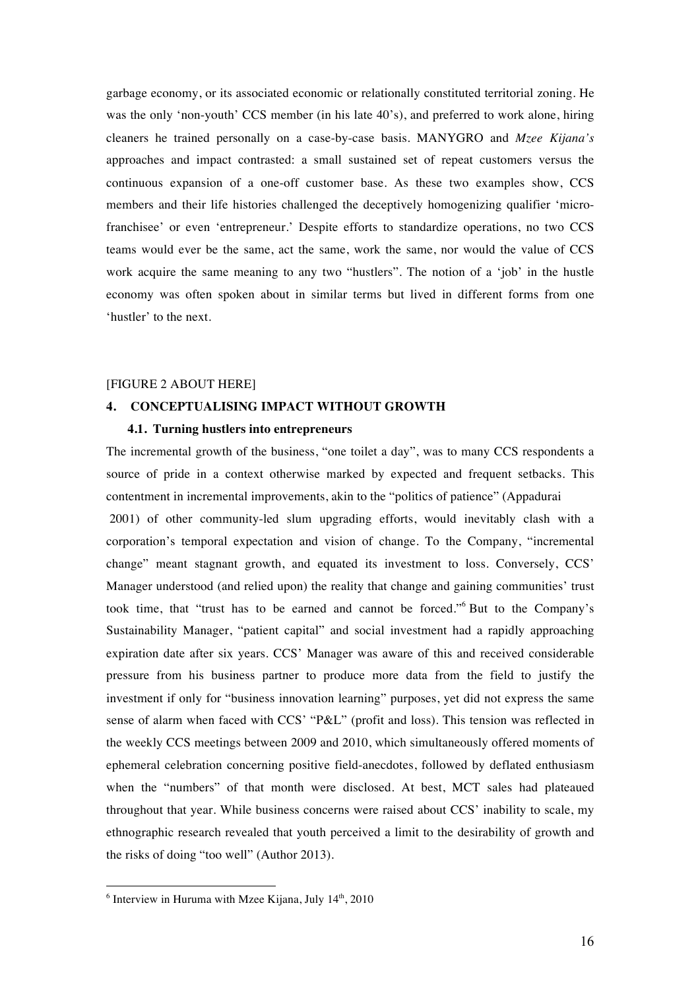garbage economy, or its associated economic or relationally constituted territorial zoning. He was the only 'non-youth' CCS member (in his late 40's), and preferred to work alone, hiring cleaners he trained personally on a case-by-case basis. MANYGRO and *Mzee Kijana's* approaches and impact contrasted: a small sustained set of repeat customers versus the continuous expansion of a one-off customer base. As these two examples show, CCS members and their life histories challenged the deceptively homogenizing qualifier 'microfranchisee' or even 'entrepreneur.' Despite efforts to standardize operations, no two CCS teams would ever be the same, act the same, work the same, nor would the value of CCS work acquire the same meaning to any two "hustlers". The notion of a 'job' in the hustle economy was often spoken about in similar terms but lived in different forms from one 'hustler' to the next.

## [FIGURE 2 ABOUT HERE]

## **4. CONCEPTUALISING IMPACT WITHOUT GROWTH**

#### **4.1. Turning hustlers into entrepreneurs**

The incremental growth of the business, "one toilet a day", was to many CCS respondents a source of pride in a context otherwise marked by expected and frequent setbacks. This contentment in incremental improvements, akin to the "politics of patience" (Appadurai 2001) of other community-led slum upgrading efforts, would inevitably clash with a corporation's temporal expectation and vision of change. To the Company, "incremental change" meant stagnant growth, and equated its investment to loss. Conversely, CCS' Manager understood (and relied upon) the reality that change and gaining communities' trust took time, that "trust has to be earned and cannot be forced."<sup>6</sup> But to the Company's Sustainability Manager, "patient capital" and social investment had a rapidly approaching expiration date after six years. CCS' Manager was aware of this and received considerable pressure from his business partner to produce more data from the field to justify the investment if only for "business innovation learning" purposes, yet did not express the same sense of alarm when faced with CCS' "P&L" (profit and loss). This tension was reflected in the weekly CCS meetings between 2009 and 2010, which simultaneously offered moments of ephemeral celebration concerning positive field-anecdotes, followed by deflated enthusiasm when the "numbers" of that month were disclosed. At best, MCT sales had plateaued throughout that year. While business concerns were raised about CCS' inability to scale, my ethnographic research revealed that youth perceived a limit to the desirability of growth and the risks of doing "too well" (Author 2013).

 $\overline{a}$ 

 $6$  Interview in Huruma with Mzee Kijana, July  $14<sup>th</sup>$ , 2010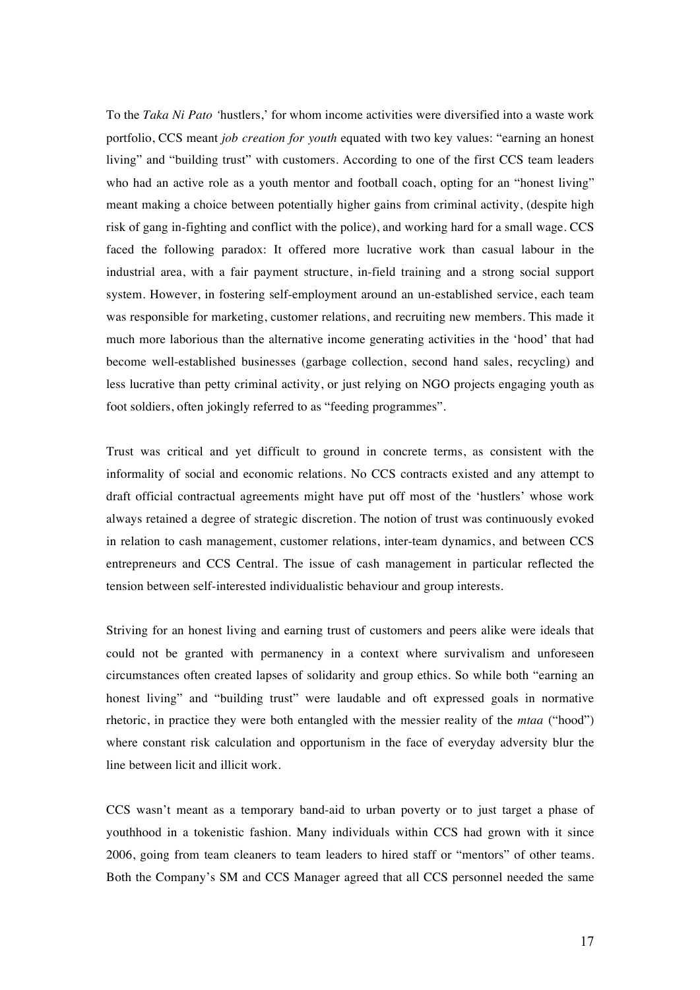To the *Taka Ni Pato '*hustlers,' for whom income activities were diversified into a waste work portfolio, CCS meant *job creation for youth* equated with two key values: "earning an honest living" and "building trust" with customers. According to one of the first CCS team leaders who had an active role as a youth mentor and football coach, opting for an "honest living" meant making a choice between potentially higher gains from criminal activity, (despite high risk of gang in-fighting and conflict with the police), and working hard for a small wage. CCS faced the following paradox: It offered more lucrative work than casual labour in the industrial area, with a fair payment structure, in-field training and a strong social support system. However, in fostering self-employment around an un-established service, each team was responsible for marketing, customer relations, and recruiting new members. This made it much more laborious than the alternative income generating activities in the 'hood' that had become well-established businesses (garbage collection, second hand sales, recycling) and less lucrative than petty criminal activity, or just relying on NGO projects engaging youth as foot soldiers, often jokingly referred to as "feeding programmes".

Trust was critical and yet difficult to ground in concrete terms, as consistent with the informality of social and economic relations. No CCS contracts existed and any attempt to draft official contractual agreements might have put off most of the 'hustlers' whose work always retained a degree of strategic discretion. The notion of trust was continuously evoked in relation to cash management, customer relations, inter-team dynamics, and between CCS entrepreneurs and CCS Central. The issue of cash management in particular reflected the tension between self-interested individualistic behaviour and group interests.

Striving for an honest living and earning trust of customers and peers alike were ideals that could not be granted with permanency in a context where survivalism and unforeseen circumstances often created lapses of solidarity and group ethics. So while both "earning an honest living" and "building trust" were laudable and oft expressed goals in normative rhetoric, in practice they were both entangled with the messier reality of the *mtaa* ("hood") where constant risk calculation and opportunism in the face of everyday adversity blur the line between licit and illicit work.

CCS wasn't meant as a temporary band-aid to urban poverty or to just target a phase of youthhood in a tokenistic fashion. Many individuals within CCS had grown with it since 2006, going from team cleaners to team leaders to hired staff or "mentors" of other teams. Both the Company's SM and CCS Manager agreed that all CCS personnel needed the same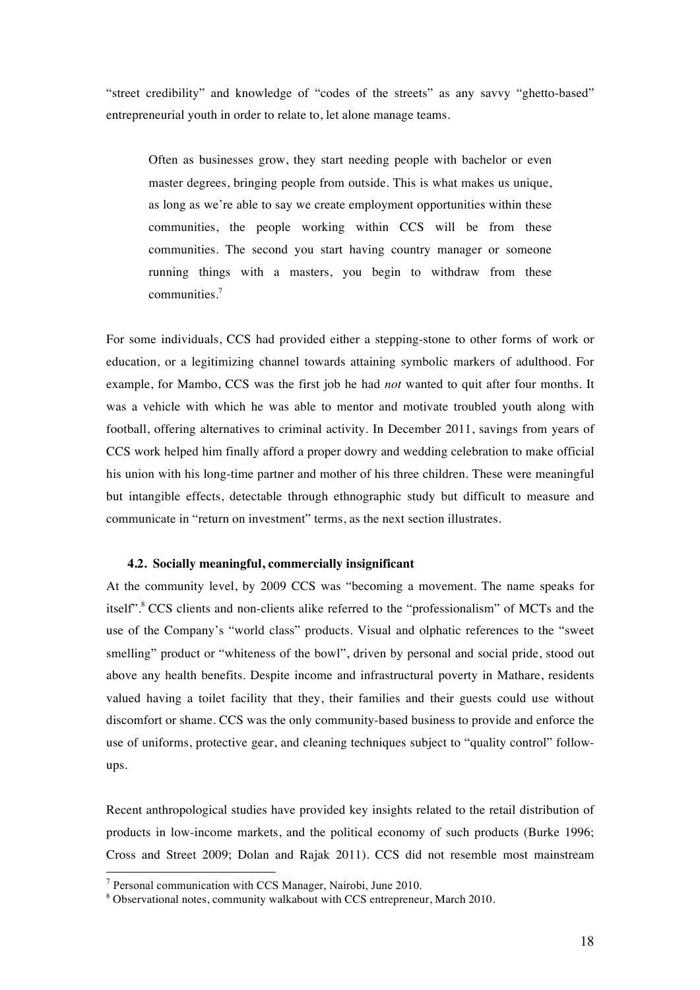"street credibility" and knowledge of "codes of the streets" as any savvy "ghetto-based" entrepreneurial youth in order to relate to, let alone manage teams.

Often as businesses grow, they start needing people with bachelor or even master degrees, bringing people from outside. This is what makes us unique, as long as we're able to say we create employment opportunities within these communities, the people working within CCS will be from these communities. The second you start having country manager or someone running things with a masters, you begin to withdraw from these communities.<sup>7</sup>

For some individuals, CCS had provided either a stepping-stone to other forms of work or education, or a legitimizing channel towards attaining symbolic markers of adulthood. For example, for Mambo, CCS was the first job he had *not* wanted to quit after four months. It was a vehicle with which he was able to mentor and motivate troubled youth along with football, offering alternatives to criminal activity. In December 2011, savings from years of CCS work helped him finally afford a proper dowry and wedding celebration to make official his union with his long-time partner and mother of his three children. These were meaningful but intangible effects, detectable through ethnographic study but difficult to measure and communicate in "return on investment" terms, as the next section illustrates.

#### **4.2. Socially meaningful, commercially insignificant**

At the community level, by 2009 CCS was "becoming a movement. The name speaks for itself".<sup>8</sup> CCS clients and non-clients alike referred to the "professionalism" of MCTs and the use of the Company's "world class" products. Visual and olphatic references to the "sweet smelling" product or "whiteness of the bowl", driven by personal and social pride, stood out above any health benefits. Despite income and infrastructural poverty in Mathare, residents valued having a toilet facility that they, their families and their guests could use without discomfort or shame. CCS was the only community-based business to provide and enforce the use of uniforms, protective gear, and cleaning techniques subject to "quality control" followups.

Recent anthropological studies have provided key insights related to the retail distribution of products in low-income markets, and the political economy of such products (Burke 1996; Cross and Street 2009; Dolan and Rajak 2011). CCS did not resemble most mainstream

 <sup>7</sup> Personal communication with CCS Manager, Nairobi, June 2010.

<sup>8</sup> Observational notes, community walkabout with CCS entrepreneur, March 2010.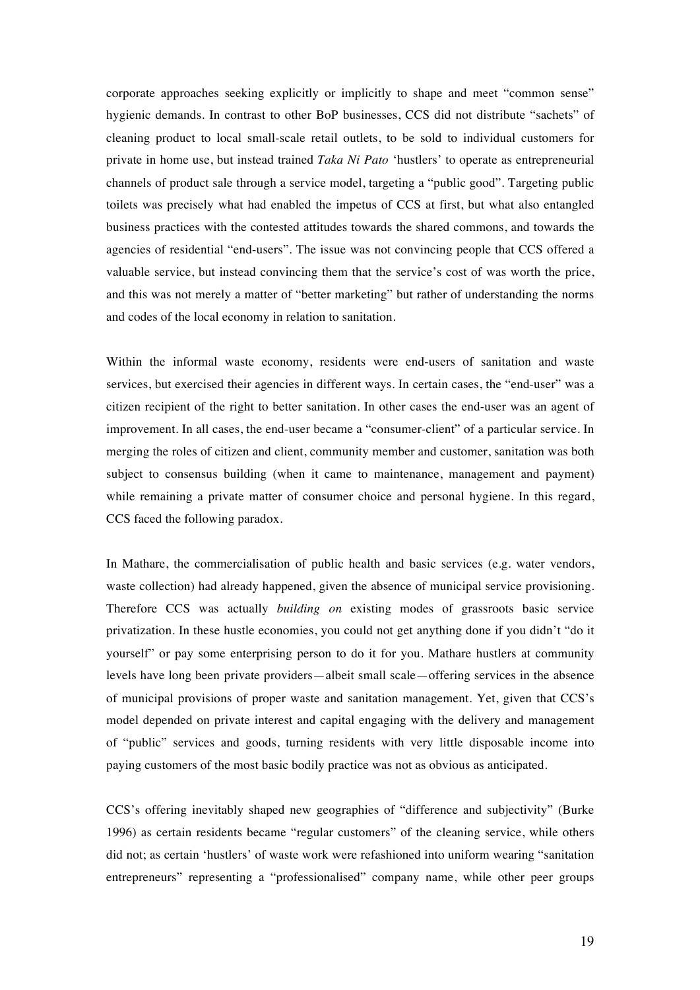corporate approaches seeking explicitly or implicitly to shape and meet "common sense" hygienic demands. In contrast to other BoP businesses, CCS did not distribute "sachets" of cleaning product to local small-scale retail outlets, to be sold to individual customers for private in home use, but instead trained *Taka Ni Pato* 'hustlers' to operate as entrepreneurial channels of product sale through a service model, targeting a "public good". Targeting public toilets was precisely what had enabled the impetus of CCS at first, but what also entangled business practices with the contested attitudes towards the shared commons, and towards the agencies of residential "end-users". The issue was not convincing people that CCS offered a valuable service, but instead convincing them that the service's cost of was worth the price, and this was not merely a matter of "better marketing" but rather of understanding the norms and codes of the local economy in relation to sanitation.

Within the informal waste economy, residents were end-users of sanitation and waste services, but exercised their agencies in different ways. In certain cases, the "end-user" was a citizen recipient of the right to better sanitation. In other cases the end-user was an agent of improvement. In all cases, the end-user became a "consumer-client" of a particular service. In merging the roles of citizen and client, community member and customer, sanitation was both subject to consensus building (when it came to maintenance, management and payment) while remaining a private matter of consumer choice and personal hygiene. In this regard, CCS faced the following paradox.

In Mathare, the commercialisation of public health and basic services (e.g. water vendors, waste collection) had already happened, given the absence of municipal service provisioning. Therefore CCS was actually *building on* existing modes of grassroots basic service privatization. In these hustle economies, you could not get anything done if you didn't "do it yourself" or pay some enterprising person to do it for you. Mathare hustlers at community levels have long been private providers—albeit small scale—offering services in the absence of municipal provisions of proper waste and sanitation management. Yet, given that CCS's model depended on private interest and capital engaging with the delivery and management of "public" services and goods, turning residents with very little disposable income into paying customers of the most basic bodily practice was not as obvious as anticipated.

CCS's offering inevitably shaped new geographies of "difference and subjectivity" (Burke 1996) as certain residents became "regular customers" of the cleaning service, while others did not; as certain 'hustlers' of waste work were refashioned into uniform wearing "sanitation entrepreneurs" representing a "professionalised" company name, while other peer groups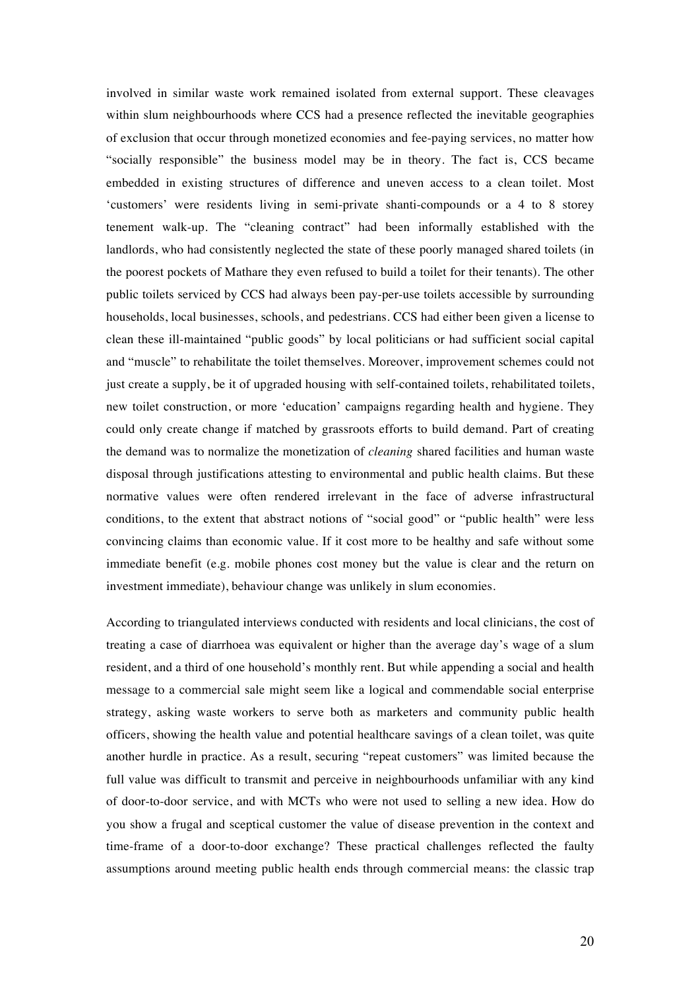involved in similar waste work remained isolated from external support. These cleavages within slum neighbourhoods where CCS had a presence reflected the inevitable geographies of exclusion that occur through monetized economies and fee-paying services, no matter how "socially responsible" the business model may be in theory. The fact is, CCS became embedded in existing structures of difference and uneven access to a clean toilet. Most 'customers' were residents living in semi-private shanti-compounds or a 4 to 8 storey tenement walk-up. The "cleaning contract" had been informally established with the landlords, who had consistently neglected the state of these poorly managed shared toilets (in the poorest pockets of Mathare they even refused to build a toilet for their tenants). The other public toilets serviced by CCS had always been pay-per-use toilets accessible by surrounding households, local businesses, schools, and pedestrians. CCS had either been given a license to clean these ill-maintained "public goods" by local politicians or had sufficient social capital and "muscle" to rehabilitate the toilet themselves. Moreover, improvement schemes could not just create a supply, be it of upgraded housing with self-contained toilets, rehabilitated toilets, new toilet construction, or more 'education' campaigns regarding health and hygiene. They could only create change if matched by grassroots efforts to build demand. Part of creating the demand was to normalize the monetization of *cleaning* shared facilities and human waste disposal through justifications attesting to environmental and public health claims. But these normative values were often rendered irrelevant in the face of adverse infrastructural conditions, to the extent that abstract notions of "social good" or "public health" were less convincing claims than economic value. If it cost more to be healthy and safe without some immediate benefit (e.g. mobile phones cost money but the value is clear and the return on investment immediate), behaviour change was unlikely in slum economies.

According to triangulated interviews conducted with residents and local clinicians, the cost of treating a case of diarrhoea was equivalent or higher than the average day's wage of a slum resident, and a third of one household's monthly rent. But while appending a social and health message to a commercial sale might seem like a logical and commendable social enterprise strategy, asking waste workers to serve both as marketers and community public health officers, showing the health value and potential healthcare savings of a clean toilet, was quite another hurdle in practice. As a result, securing "repeat customers" was limited because the full value was difficult to transmit and perceive in neighbourhoods unfamiliar with any kind of door-to-door service, and with MCTs who were not used to selling a new idea. How do you show a frugal and sceptical customer the value of disease prevention in the context and time-frame of a door-to-door exchange? These practical challenges reflected the faulty assumptions around meeting public health ends through commercial means: the classic trap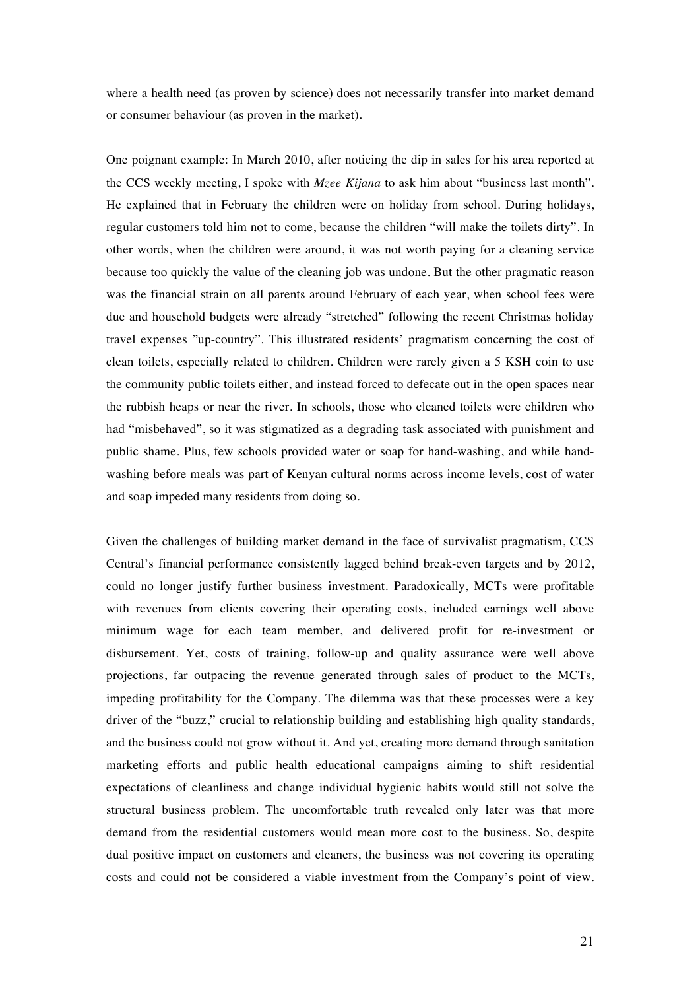where a health need (as proven by science) does not necessarily transfer into market demand or consumer behaviour (as proven in the market).

One poignant example: In March 2010, after noticing the dip in sales for his area reported at the CCS weekly meeting, I spoke with *Mzee Kijana* to ask him about "business last month". He explained that in February the children were on holiday from school. During holidays, regular customers told him not to come, because the children "will make the toilets dirty". In other words, when the children were around, it was not worth paying for a cleaning service because too quickly the value of the cleaning job was undone. But the other pragmatic reason was the financial strain on all parents around February of each year, when school fees were due and household budgets were already "stretched" following the recent Christmas holiday travel expenses "up-country". This illustrated residents' pragmatism concerning the cost of clean toilets, especially related to children. Children were rarely given a 5 KSH coin to use the community public toilets either, and instead forced to defecate out in the open spaces near the rubbish heaps or near the river. In schools, those who cleaned toilets were children who had "misbehaved", so it was stigmatized as a degrading task associated with punishment and public shame. Plus, few schools provided water or soap for hand-washing, and while handwashing before meals was part of Kenyan cultural norms across income levels, cost of water and soap impeded many residents from doing so.

Given the challenges of building market demand in the face of survivalist pragmatism, CCS Central's financial performance consistently lagged behind break-even targets and by 2012, could no longer justify further business investment. Paradoxically, MCTs were profitable with revenues from clients covering their operating costs, included earnings well above minimum wage for each team member, and delivered profit for re-investment or disbursement. Yet, costs of training, follow-up and quality assurance were well above projections, far outpacing the revenue generated through sales of product to the MCTs, impeding profitability for the Company. The dilemma was that these processes were a key driver of the "buzz," crucial to relationship building and establishing high quality standards, and the business could not grow without it. And yet, creating more demand through sanitation marketing efforts and public health educational campaigns aiming to shift residential expectations of cleanliness and change individual hygienic habits would still not solve the structural business problem. The uncomfortable truth revealed only later was that more demand from the residential customers would mean more cost to the business. So, despite dual positive impact on customers and cleaners, the business was not covering its operating costs and could not be considered a viable investment from the Company's point of view.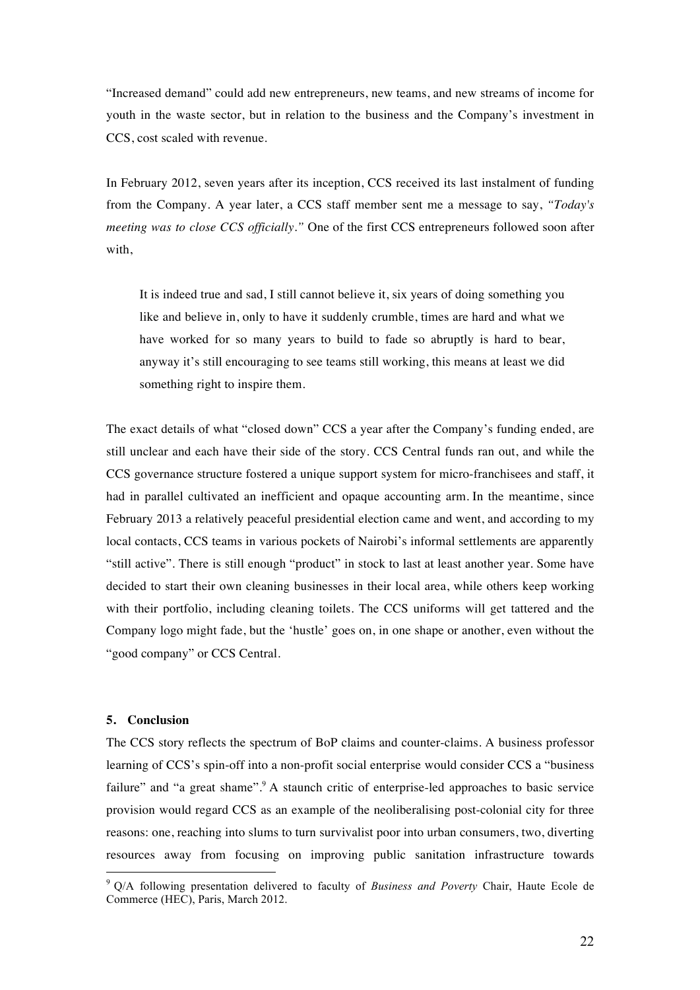"Increased demand" could add new entrepreneurs, new teams, and new streams of income for youth in the waste sector, but in relation to the business and the Company's investment in CCS, cost scaled with revenue.

In February 2012, seven years after its inception, CCS received its last instalment of funding from the Company. A year later, a CCS staff member sent me a message to say, *"Today's meeting was to close CCS officially."* One of the first CCS entrepreneurs followed soon after with,

It is indeed true and sad, I still cannot believe it, six years of doing something you like and believe in, only to have it suddenly crumble, times are hard and what we have worked for so many years to build to fade so abruptly is hard to bear, anyway it's still encouraging to see teams still working, this means at least we did something right to inspire them.

The exact details of what "closed down" CCS a year after the Company's funding ended, are still unclear and each have their side of the story. CCS Central funds ran out, and while the CCS governance structure fostered a unique support system for micro-franchisees and staff, it had in parallel cultivated an inefficient and opaque accounting arm. In the meantime, since February 2013 a relatively peaceful presidential election came and went, and according to my local contacts, CCS teams in various pockets of Nairobi's informal settlements are apparently "still active". There is still enough "product" in stock to last at least another year. Some have decided to start their own cleaning businesses in their local area, while others keep working with their portfolio, including cleaning toilets. The CCS uniforms will get tattered and the Company logo might fade, but the 'hustle' goes on, in one shape or another, even without the "good company" or CCS Central.

## **5. Conclusion**

The CCS story reflects the spectrum of BoP claims and counter-claims. A business professor learning of CCS's spin-off into a non-profit social enterprise would consider CCS a "business failure" and "a great shame".<sup>9</sup> A staunch critic of enterprise-led approaches to basic service provision would regard CCS as an example of the neoliberalising post-colonial city for three reasons: one, reaching into slums to turn survivalist poor into urban consumers, two, diverting resources away from focusing on improving public sanitation infrastructure towards

 <sup>9</sup> Q/A following presentation delivered to faculty of *Business and Poverty* Chair, Haute Ecole de Commerce (HEC), Paris, March 2012.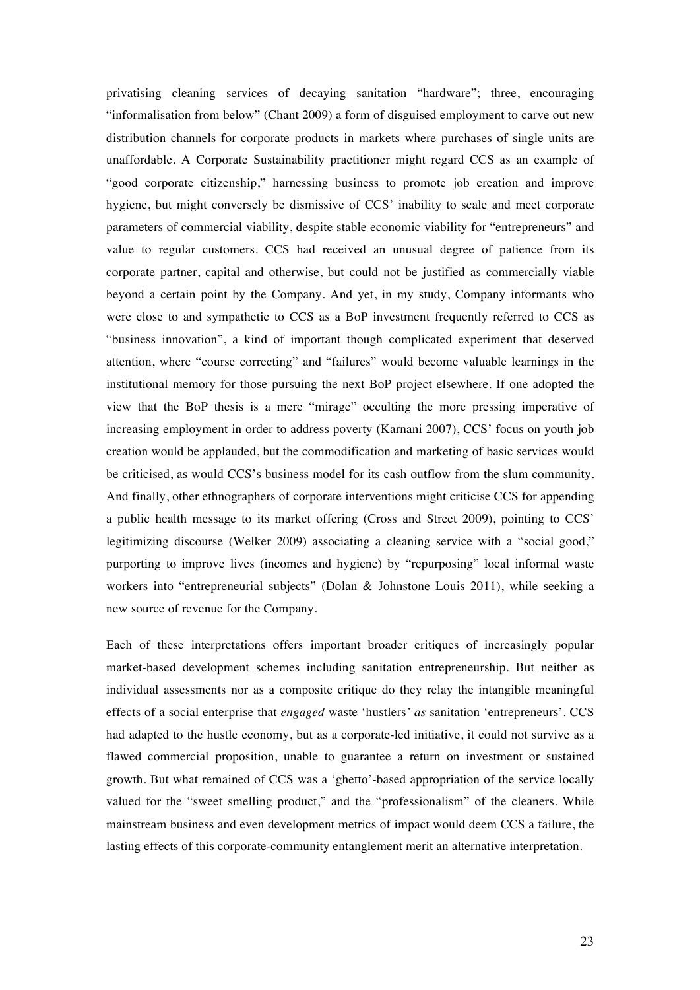privatising cleaning services of decaying sanitation "hardware"; three, encouraging "informalisation from below" (Chant 2009) a form of disguised employment to carve out new distribution channels for corporate products in markets where purchases of single units are unaffordable. A Corporate Sustainability practitioner might regard CCS as an example of "good corporate citizenship," harnessing business to promote job creation and improve hygiene, but might conversely be dismissive of CCS' inability to scale and meet corporate parameters of commercial viability, despite stable economic viability for "entrepreneurs" and value to regular customers. CCS had received an unusual degree of patience from its corporate partner, capital and otherwise, but could not be justified as commercially viable beyond a certain point by the Company. And yet, in my study, Company informants who were close to and sympathetic to CCS as a BoP investment frequently referred to CCS as "business innovation", a kind of important though complicated experiment that deserved attention, where "course correcting" and "failures" would become valuable learnings in the institutional memory for those pursuing the next BoP project elsewhere. If one adopted the view that the BoP thesis is a mere "mirage" occulting the more pressing imperative of increasing employment in order to address poverty (Karnani 2007), CCS' focus on youth job creation would be applauded, but the commodification and marketing of basic services would be criticised, as would CCS's business model for its cash outflow from the slum community. And finally, other ethnographers of corporate interventions might criticise CCS for appending a public health message to its market offering (Cross and Street 2009), pointing to CCS' legitimizing discourse (Welker 2009) associating a cleaning service with a "social good," purporting to improve lives (incomes and hygiene) by "repurposing" local informal waste workers into "entrepreneurial subjects" (Dolan & Johnstone Louis 2011), while seeking a new source of revenue for the Company.

Each of these interpretations offers important broader critiques of increasingly popular market-based development schemes including sanitation entrepreneurship. But neither as individual assessments nor as a composite critique do they relay the intangible meaningful effects of a social enterprise that *engaged* waste 'hustlers*' as* sanitation 'entrepreneurs'. CCS had adapted to the hustle economy, but as a corporate-led initiative, it could not survive as a flawed commercial proposition, unable to guarantee a return on investment or sustained growth. But what remained of CCS was a 'ghetto'-based appropriation of the service locally valued for the "sweet smelling product," and the "professionalism" of the cleaners. While mainstream business and even development metrics of impact would deem CCS a failure, the lasting effects of this corporate-community entanglement merit an alternative interpretation.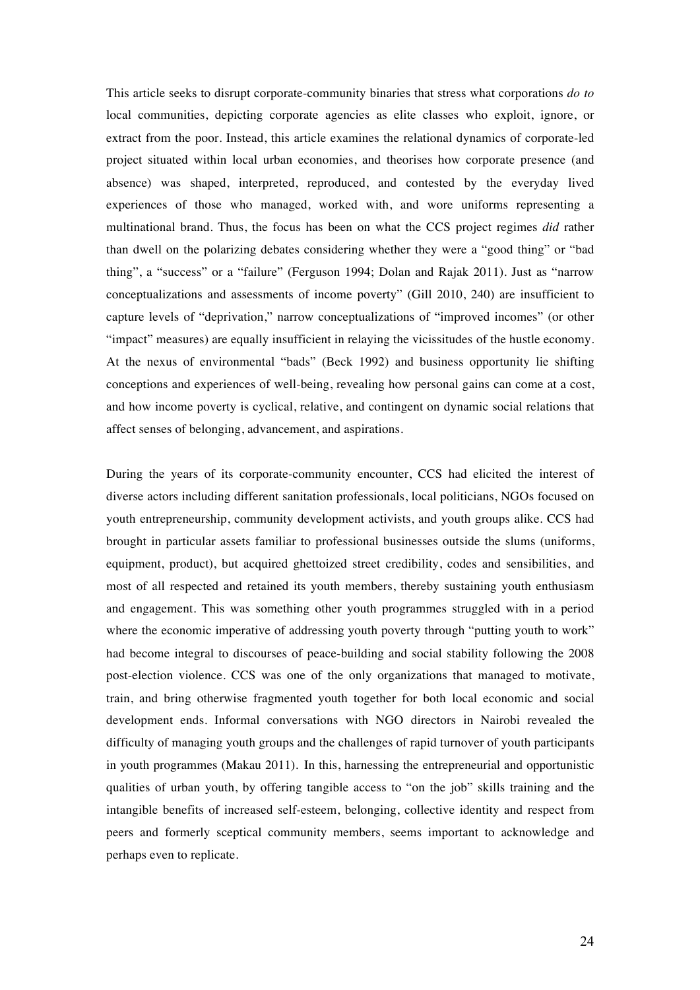This article seeks to disrupt corporate-community binaries that stress what corporations *do to* local communities, depicting corporate agencies as elite classes who exploit, ignore, or extract from the poor. Instead, this article examines the relational dynamics of corporate-led project situated within local urban economies, and theorises how corporate presence (and absence) was shaped, interpreted, reproduced, and contested by the everyday lived experiences of those who managed, worked with, and wore uniforms representing a multinational brand. Thus, the focus has been on what the CCS project regimes *did* rather than dwell on the polarizing debates considering whether they were a "good thing" or "bad thing", a "success" or a "failure" (Ferguson 1994; Dolan and Rajak 2011). Just as "narrow conceptualizations and assessments of income poverty" (Gill 2010, 240) are insufficient to capture levels of "deprivation," narrow conceptualizations of "improved incomes" (or other "impact" measures) are equally insufficient in relaying the vicissitudes of the hustle economy. At the nexus of environmental "bads" (Beck 1992) and business opportunity lie shifting conceptions and experiences of well-being, revealing how personal gains can come at a cost, and how income poverty is cyclical, relative, and contingent on dynamic social relations that affect senses of belonging, advancement, and aspirations.

During the years of its corporate-community encounter, CCS had elicited the interest of diverse actors including different sanitation professionals, local politicians, NGOs focused on youth entrepreneurship, community development activists, and youth groups alike. CCS had brought in particular assets familiar to professional businesses outside the slums (uniforms, equipment, product), but acquired ghettoized street credibility, codes and sensibilities, and most of all respected and retained its youth members, thereby sustaining youth enthusiasm and engagement. This was something other youth programmes struggled with in a period where the economic imperative of addressing youth poverty through "putting youth to work" had become integral to discourses of peace-building and social stability following the 2008 post-election violence. CCS was one of the only organizations that managed to motivate, train, and bring otherwise fragmented youth together for both local economic and social development ends. Informal conversations with NGO directors in Nairobi revealed the difficulty of managing youth groups and the challenges of rapid turnover of youth participants in youth programmes (Makau 2011). In this, harnessing the entrepreneurial and opportunistic qualities of urban youth, by offering tangible access to "on the job" skills training and the intangible benefits of increased self-esteem, belonging, collective identity and respect from peers and formerly sceptical community members, seems important to acknowledge and perhaps even to replicate.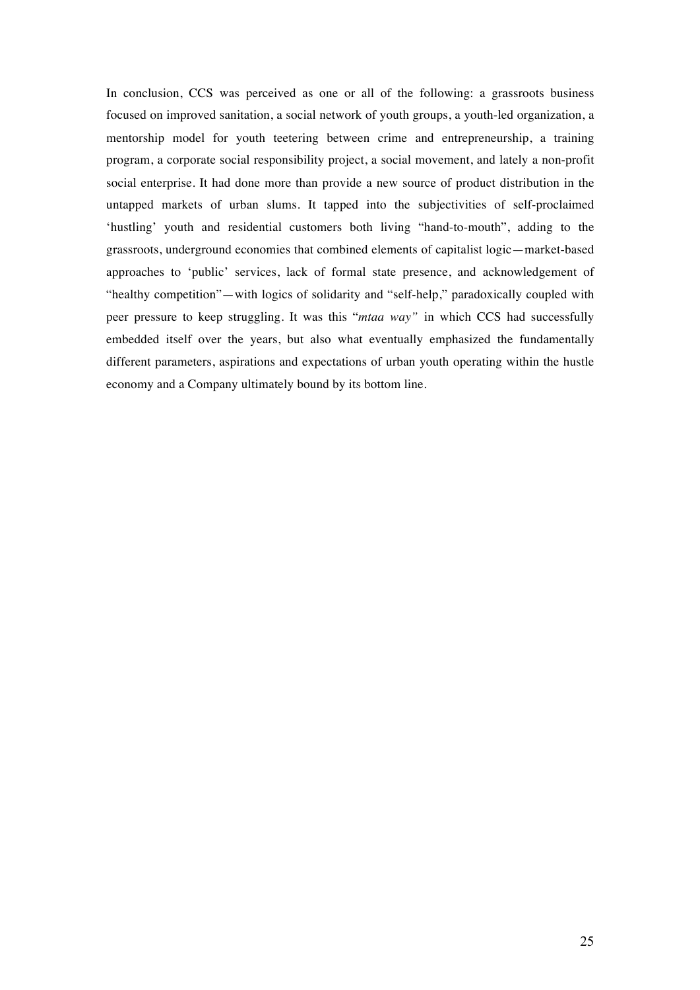In conclusion, CCS was perceived as one or all of the following: a grassroots business focused on improved sanitation, a social network of youth groups, a youth-led organization, a mentorship model for youth teetering between crime and entrepreneurship, a training program, a corporate social responsibility project, a social movement, and lately a non-profit social enterprise. It had done more than provide a new source of product distribution in the untapped markets of urban slums. It tapped into the subjectivities of self-proclaimed 'hustling' youth and residential customers both living "hand-to-mouth", adding to the grassroots, underground economies that combined elements of capitalist logic—market-based approaches to 'public' services, lack of formal state presence, and acknowledgement of "healthy competition"—with logics of solidarity and "self-help," paradoxically coupled with peer pressure to keep struggling. It was this "*mtaa way"* in which CCS had successfully embedded itself over the years, but also what eventually emphasized the fundamentally different parameters, aspirations and expectations of urban youth operating within the hustle economy and a Company ultimately bound by its bottom line.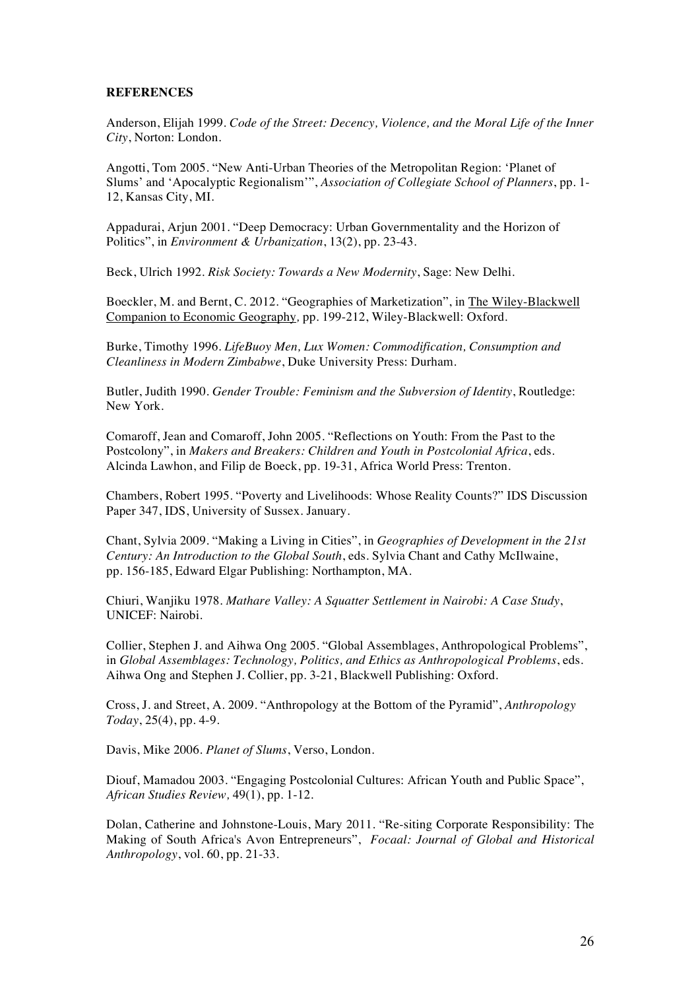# **REFERENCES**

Anderson, Elijah 1999. *Code of the Street: Decency, Violence, and the Moral Life of the Inner City*, Norton: London.

Angotti, Tom 2005. "New Anti-Urban Theories of the Metropolitan Region: 'Planet of Slums' and 'Apocalyptic Regionalism'", *Association of Collegiate School of Planners*, pp. 1- 12, Kansas City, MI.

Appadurai, Arjun 2001. "Deep Democracy: Urban Governmentality and the Horizon of Politics", in *Environment & Urbanization*, 13(2), pp. 23-43.

Beck, Ulrich 1992. *Risk Society: Towards a New Modernity*, Sage: New Delhi.

Boeckler, M. and Bernt, C. 2012. "Geographies of Marketization", in The Wiley-Blackwell Companion to Economic Geography*,* pp. 199-212, Wiley-Blackwell: Oxford.

Burke, Timothy 1996. *LifeBuoy Men, Lux Women: Commodification, Consumption and Cleanliness in Modern Zimbabwe*, Duke University Press: Durham.

Butler, Judith 1990. *Gender Trouble: Feminism and the Subversion of Identity*, Routledge: New York.

Comaroff, Jean and Comaroff, John 2005. "Reflections on Youth: From the Past to the Postcolony", in *Makers and Breakers: Children and Youth in Postcolonial Africa*, eds. Alcinda Lawhon, and Filip de Boeck, pp. 19-31, Africa World Press: Trenton.

Chambers, Robert 1995. "Poverty and Livelihoods: Whose Reality Counts?" IDS Discussion Paper 347, IDS, University of Sussex. January.

Chant, Sylvia 2009. "Making a Living in Cities", in *Geographies of Development in the 21st Century: An Introduction to the Global South*, eds. Sylvia Chant and Cathy McIlwaine, pp. 156-185, Edward Elgar Publishing: Northampton, MA.

Chiuri, Wanjiku 1978. *Mathare Valley: A Squatter Settlement in Nairobi: A Case Study*, UNICEF: Nairobi.

Collier, Stephen J. and Aihwa Ong 2005. "Global Assemblages, Anthropological Problems", in *Global Assemblages: Technology, Politics, and Ethics as Anthropological Problems*, eds. Aihwa Ong and Stephen J. Collier, pp. 3-21, Blackwell Publishing: Oxford.

Cross, J. and Street, A. 2009. "Anthropology at the Bottom of the Pyramid", *Anthropology Today*, 25(4), pp. 4-9.

Davis, Mike 2006. *Planet of Slums*, Verso, London.

Diouf, Mamadou 2003. "Engaging Postcolonial Cultures: African Youth and Public Space", *African Studies Review,* 49(1), pp. 1-12.

Dolan, Catherine and Johnstone-Louis, Mary 2011. "Re-siting Corporate Responsibility: The Making of South Africa's Avon Entrepreneurs", *Focaal: Journal of Global and Historical Anthropology*, vol. 60, pp. 21-33.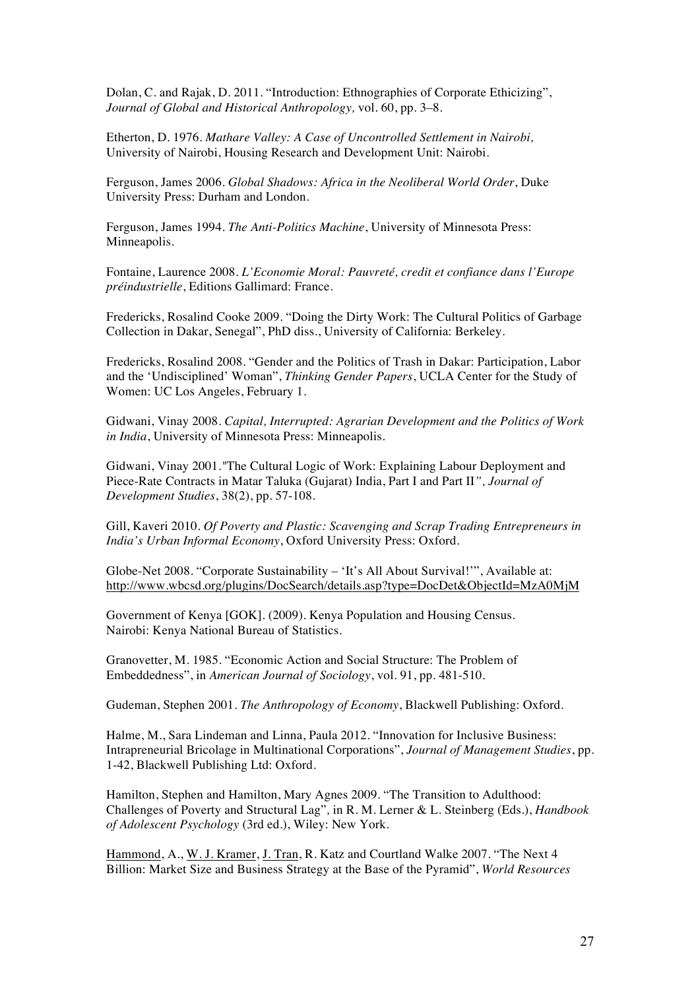Dolan, C. and Rajak, D. 2011. "Introduction: Ethnographies of Corporate Ethicizing", *Journal of Global and Historical Anthropology,* vol*.* 60, pp. 3–8.

Etherton, D. 1976. *Mathare Valley: A Case of Uncontrolled Settlement in Nairobi,* University of Nairobi, Housing Research and Development Unit: Nairobi.

Ferguson, James 2006. *Global Shadows: Africa in the Neoliberal World Order*, Duke University Press: Durham and London.

Ferguson, James 1994. *The Anti-Politics Machine*, University of Minnesota Press: Minneapolis.

Fontaine, Laurence 2008. *L'Economie Moral: Pauvreté, credit et confiance dans l'Europe préindustrielle*, Editions Gallimard: France.

Fredericks, Rosalind Cooke 2009. "Doing the Dirty Work: The Cultural Politics of Garbage Collection in Dakar, Senegal", PhD diss., University of California: Berkeley.

Fredericks, Rosalind 2008. "Gender and the Politics of Trash in Dakar: Participation, Labor and the 'Undisciplined' Woman", *Thinking Gender Papers*, UCLA Center for the Study of Women: UC Los Angeles, February 1.

Gidwani, Vinay 2008. *Capital, Interrupted: Agrarian Development and the Politics of Work in India*, University of Minnesota Press: Minneapolis.

Gidwani, Vinay 2001.*"*The Cultural Logic of Work: Explaining Labour Deployment and Piece-Rate Contracts in Matar Taluka (Gujarat) India, Part I and Part II*", Journal of Development Studies*, 38(2), pp. 57-108.

Gill, Kaveri 2010. *Of Poverty and Plastic: Scavenging and Scrap Trading Entrepreneurs in India's Urban Informal Economy*, Oxford University Press: Oxford.

Globe-Net 2008. "Corporate Sustainability – 'It's All About Survival!'", Available at: http://www.wbcsd.org/plugins/DocSearch/details.asp?type=DocDet&ObjectId=MzA0MjM

Government of Kenya [GOK]. (2009). Kenya Population and Housing Census. Nairobi: Kenya National Bureau of Statistics.

Granovetter, M. 1985. "Economic Action and Social Structure: The Problem of Embeddedness", in *American Journal of Sociology*, vol. 91, pp. 481-510.

Gudeman, Stephen 2001. *The Anthropology of Economy*, Blackwell Publishing: Oxford.

Halme, M., Sara Lindeman and Linna, Paula 2012. "Innovation for Inclusive Business: Intrapreneurial Bricolage in Multinational Corporations", *Journal of Management Studies*, pp. 1-42, Blackwell Publishing Ltd: Oxford.

Hamilton, Stephen and Hamilton, Mary Agnes 2009. "The Transition to Adulthood: Challenges of Poverty and Structural Lag"*,* in R. M. Lerner & L. Steinberg (Eds.), *Handbook of Adolescent Psychology* (3rd ed.), Wiley: New York.

Hammond, A., W. J. Kramer, J. Tran, R. Katz and Courtland Walke 2007. "The Next 4 Billion: Market Size and Business Strategy at the Base of the Pyramid", *World Resources*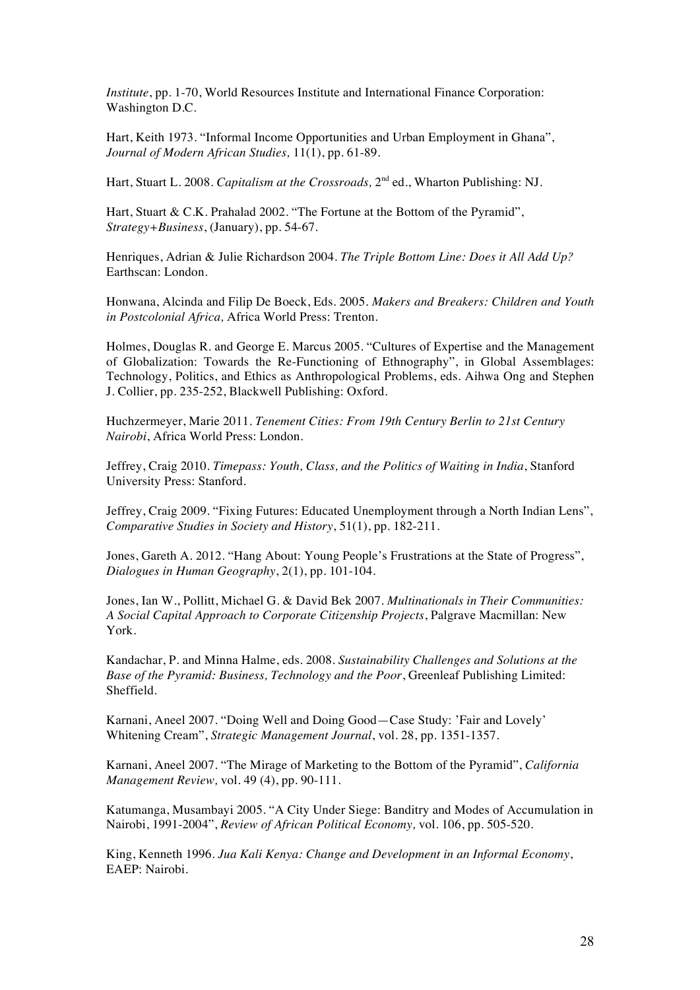*Institute*, pp. 1-70, World Resources Institute and International Finance Corporation: Washington D.C.

Hart, Keith 1973. "Informal Income Opportunities and Urban Employment in Ghana", *Journal of Modern African Studies,* 11(1), pp. 61-89.

Hart, Stuart L. 2008. *Capitalism at the Crossroads,* 2nd ed., Wharton Publishing: NJ.

Hart, Stuart & C.K. Prahalad 2002. "The Fortune at the Bottom of the Pyramid", *Strategy+Business*, (January), pp. 54-67.

Henriques, Adrian & Julie Richardson 2004. *The Triple Bottom Line: Does it All Add Up?* Earthscan: London.

Honwana, Alcinda and Filip De Boeck, Eds. 2005. *Makers and Breakers: Children and Youth in Postcolonial Africa,* Africa World Press: Trenton.

Holmes, Douglas R. and George E. Marcus 2005. "Cultures of Expertise and the Management of Globalization: Towards the Re-Functioning of Ethnography", in Global Assemblages: Technology, Politics, and Ethics as Anthropological Problems, eds. Aihwa Ong and Stephen J. Collier, pp. 235-252, Blackwell Publishing: Oxford.

Huchzermeyer, Marie 2011. *Tenement Cities: From 19th Century Berlin to 21st Century Nairobi*, Africa World Press: London.

Jeffrey, Craig 2010. *Timepass: Youth, Class, and the Politics of Waiting in India*, Stanford University Press: Stanford.

Jeffrey, Craig 2009. "Fixing Futures: Educated Unemployment through a North Indian Lens", *Comparative Studies in Society and History*, 51(1), pp. 182-211.

Jones, Gareth A. 2012. "Hang About: Young People's Frustrations at the State of Progress", *Dialogues in Human Geography*, 2(1), pp. 101-104.

Jones, Ian W., Pollitt, Michael G. & David Bek 2007. *Multinationals in Their Communities: A Social Capital Approach to Corporate Citizenship Projects*, Palgrave Macmillan: New York.

Kandachar, P. and Minna Halme, eds. 2008. *Sustainability Challenges and Solutions at the Base of the Pyramid: Business, Technology and the Poor*, Greenleaf Publishing Limited: Sheffield.

Karnani, Aneel 2007. "Doing Well and Doing Good—Case Study: 'Fair and Lovely' Whitening Cream", *Strategic Management Journal*, vol. 28, pp. 1351-1357.

Karnani, Aneel 2007. "The Mirage of Marketing to the Bottom of the Pyramid", *California Management Review,* vol. 49 (4), pp. 90-111.

Katumanga, Musambayi 2005. "A City Under Siege: Banditry and Modes of Accumulation in Nairobi, 1991-2004", *Review of African Political Economy,* vol*.* 106, pp. 505-520.

King, Kenneth 1996. *Jua Kali Kenya: Change and Development in an Informal Economy*, EAEP: Nairobi.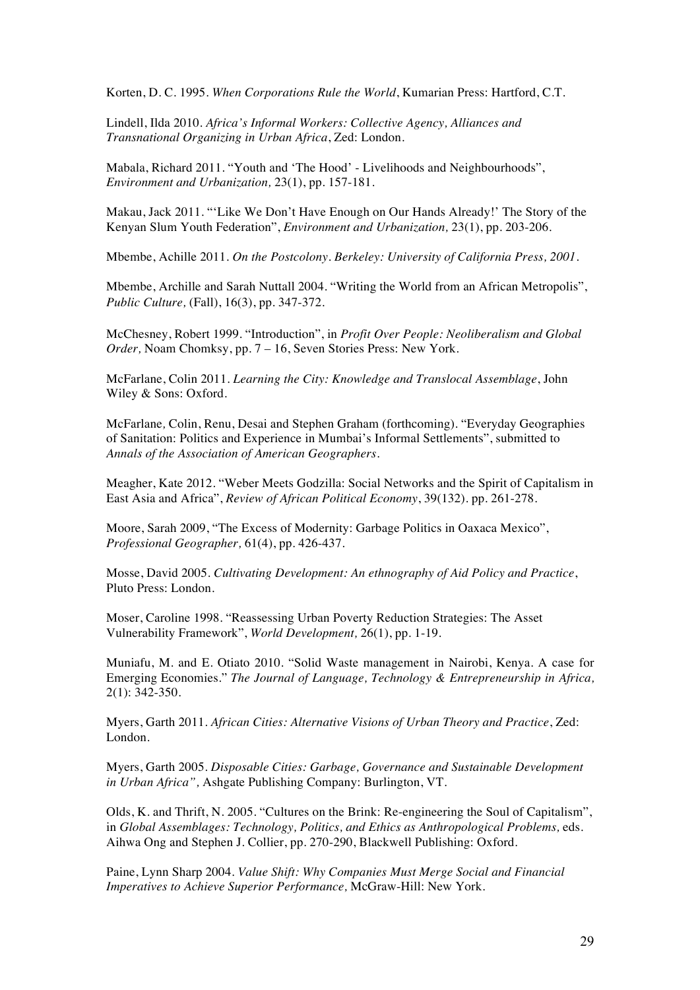Korten, D. C. 1995. *When Corporations Rule the World*, Kumarian Press: Hartford, C.T.

Lindell, Ilda 2010. *Africa's Informal Workers: Collective Agency, Alliances and Transnational Organizing in Urban Africa*, Zed: London.

Mabala, Richard 2011. "Youth and 'The Hood' - Livelihoods and Neighbourhoods", *Environment and Urbanization,* 23(1), pp. 157-181.

Makau, Jack 2011. "'Like We Don't Have Enough on Our Hands Already!' The Story of the Kenyan Slum Youth Federation", *Environment and Urbanization,* 23(1), pp. 203-206.

Mbembe, Achille 2011. *On the Postcolony. Berkeley: University of California Press, 2001.*

Mbembe, Archille and Sarah Nuttall 2004. "Writing the World from an African Metropolis", *Public Culture,* (Fall), 16(3), pp. 347-372.

McChesney, Robert 1999. "Introduction", in *Profit Over People: Neoliberalism and Global Order,* Noam Chomksy, pp. 7 – 16, Seven Stories Press: New York.

McFarlane, Colin 2011*. Learning the City: Knowledge and Translocal Assemblage*, John Wiley & Sons: Oxford.

McFarlane*,* Colin, Renu, Desai and Stephen Graham (forthcoming)*.* "Everyday Geographies of Sanitation: Politics and Experience in Mumbai's Informal Settlements", submitted to *Annals of the Association of American Geographers.*

Meagher, Kate 2012. "Weber Meets Godzilla: Social Networks and the Spirit of Capitalism in East Asia and Africa", *Review of African Political Economy*, 39(132). pp. 261-278.

Moore, Sarah 2009, "The Excess of Modernity: Garbage Politics in Oaxaca Mexico", *Professional Geographer,* 61(4), pp. 426-437.

Mosse, David 2005. *Cultivating Development: An ethnography of Aid Policy and Practice*, Pluto Press: London.

Moser, Caroline 1998. "Reassessing Urban Poverty Reduction Strategies: The Asset Vulnerability Framework", *World Development,* 26(1), pp. 1-19.

Muniafu, M. and E. Otiato 2010. "Solid Waste management in Nairobi, Kenya. A case for Emerging Economies." *The Journal of Language, Technology & Entrepreneurship in Africa,* 2(1): 342-350.

Myers, Garth 2011. *African Cities: Alternative Visions of Urban Theory and Practice*, Zed: London.

Myers, Garth 2005. *Disposable Cities: Garbage, Governance and Sustainable Development in Urban Africa",* Ashgate Publishing Company: Burlington, VT.

Olds, K. and Thrift, N. 2005. "Cultures on the Brink: Re-engineering the Soul of Capitalism", in *Global Assemblages: Technology, Politics, and Ethics as Anthropological Problems, eds.* Aihwa Ong and Stephen J. Collier, pp. 270-290, Blackwell Publishing: Oxford.

Paine, Lynn Sharp 2004. *Value Shift: Why Companies Must Merge Social and Financial Imperatives to Achieve Superior Performance,* McGraw-Hill: New York.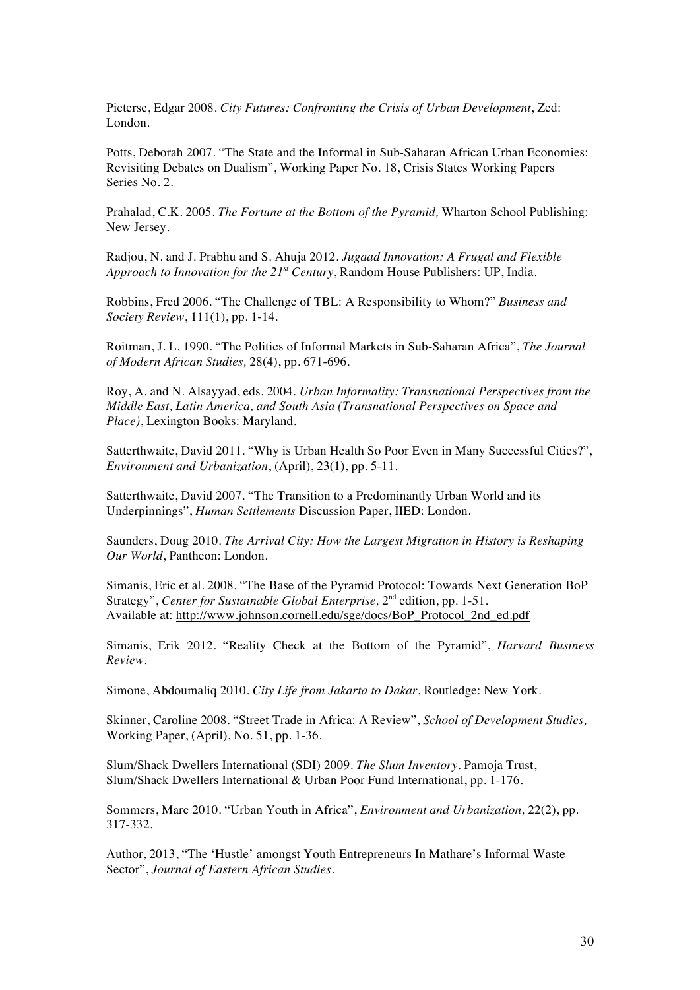Pieterse, Edgar 2008. *City Futures: Confronting the Crisis of Urban Development*, Zed: London.

Potts, Deborah 2007. "The State and the Informal in Sub-Saharan African Urban Economies: Revisiting Debates on Dualism", Working Paper No. 18, Crisis States Working Papers Series No. 2.

Prahalad, C.K. 2005. *The Fortune at the Bottom of the Pyramid,* Wharton School Publishing: New Jersey.

Radjou, N. and J. Prabhu and S. Ahuja 2012. *Jugaad Innovation: A Frugal and Flexible Approach to Innovation for the 21st Century*, Random House Publishers: UP, India.

Robbins, Fred 2006. "The Challenge of TBL: A Responsibility to Whom?" *Business and Society Review*, 111(1), pp. 1-14.

Roitman, J. L. 1990. "The Politics of Informal Markets in Sub-Saharan Africa", *The Journal of Modern African Studies,* 28(4), pp. 671-696.

Roy, A. and N. Alsayyad, eds. 2004. *Urban Informality: Transnational Perspectives from the Middle East, Latin America, and South Asia (Transnational Perspectives on Space and Place)*, Lexington Books: Maryland.

Satterthwaite, David 2011. "Why is Urban Health So Poor Even in Many Successful Cities?", *Environment and Urbanization*, (April), 23(1), pp. 5-11.

Satterthwaite, David 2007. "The Transition to a Predominantly Urban World and its Underpinnings", *Human Settlements* Discussion Paper, IIED: London.

Saunders, Doug 2010. *The Arrival City: How the Largest Migration in History is Reshaping Our World*, Pantheon: London.

Simanis, Eric et al. 2008. "The Base of the Pyramid Protocol: Towards Next Generation BoP Strategy", *Center for Sustainable Global Enterprise*,  $2<sup>nd</sup>$  edition, pp. 1-51. Available at: http://www.johnson.cornell.edu/sge/docs/BoP\_Protocol\_2nd\_ed.pdf

Simanis, Erik 2012. "Reality Check at the Bottom of the Pyramid", *Harvard Business Review.* 

Simone, Abdoumaliq 2010. *City Life from Jakarta to Dakar*, Routledge: New York.

Skinner, Caroline 2008. "Street Trade in Africa: A Review", *School of Development Studies,* Working Paper, (April), No. 51, pp. 1-36.

Slum/Shack Dwellers International (SDI) 2009. *The Slum Inventory*. Pamoja Trust, Slum/Shack Dwellers International & Urban Poor Fund International, pp. 1-176.

Sommers, Marc 2010. "Urban Youth in Africa", *Environment and Urbanization,* 22(2), pp. 317-332.

Author, 2013, "The 'Hustle' amongst Youth Entrepreneurs In Mathare's Informal Waste Sector", *Journal of Eastern African Studies*.